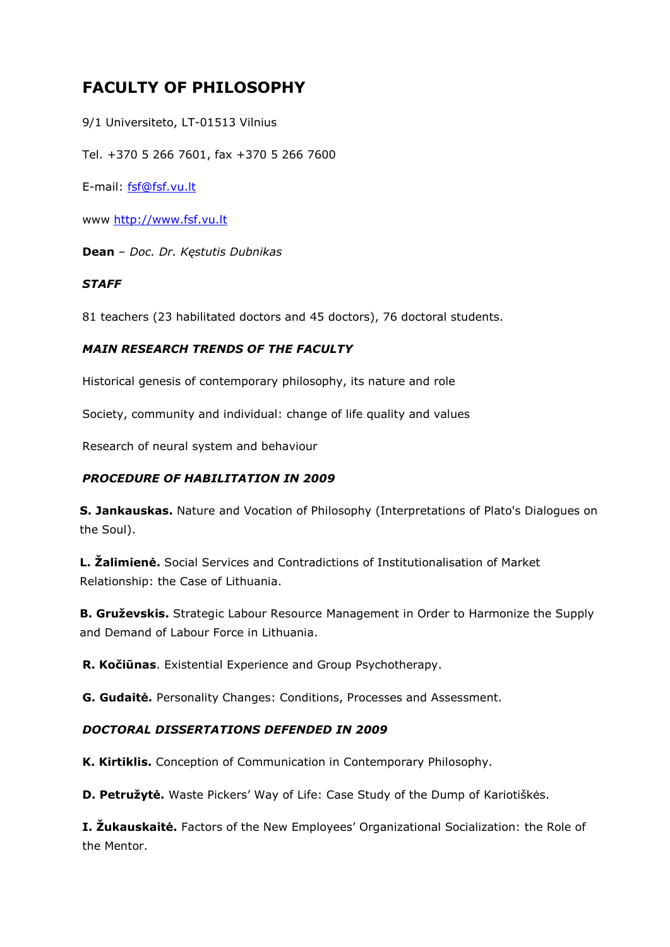# **FACULTY OF PHILOSOPHY**

9/1 Universiteto, LT-01513 Vilnius

Tel. +370 5 266 7601, fax +370 5 266 7600

E-mail: [fsf@fsf.vu.lt](mailto:fsf@fsf.vu.lt)

www [http://www.fsf.vu.lt](http://www.ff.vu.lt/)

**Dean** – *Doc. Dr. Kęstutis Dubnikas*

## *STAFF*

81 teachers (23 habilitated doctors and 45 doctors), 76 doctoral students.

# *MAIN RESEARCH TRENDS OF THE FACULTY*

Historical genesis of contemporary philosophy, its nature and role

Society, community and individual: change of life quality and values

Research of neural system and behaviour

# *PROCEDURE OF HABILITATION IN 2009*

**S. Jankauskas.** Nature and Vocation of Philosophy (Interpretations of Plato's Dialogues on the Soul).

**L. Žalimienė.** Social Services and Contradictions of Institutionalisation of Market Relationship: the Case of Lithuania.

**B. Gruževskis.** Strategic Labour Resource Management in Order to Harmonize the Supply and Demand of Labour Force in Lithuania.

**R. Kočiūnas**. Existential Experience and Group Psychotherapy.

**G. Gudaitė.** Personality Changes: Conditions, Processes and Assessment.

#### *DOCTORAL DISSERTATIONS DEFENDED IN 2009*

**K. Kirtiklis.** Conception of Communication in Contemporary Philosophy.

**D. Petružytė.** Waste Pickers' Way of Life: Case Study of the Dump of Kariotiškės.

**I. Žukauskaitė.** Factors of the New Employees' Organizational Socialization: the Role of the Mentor.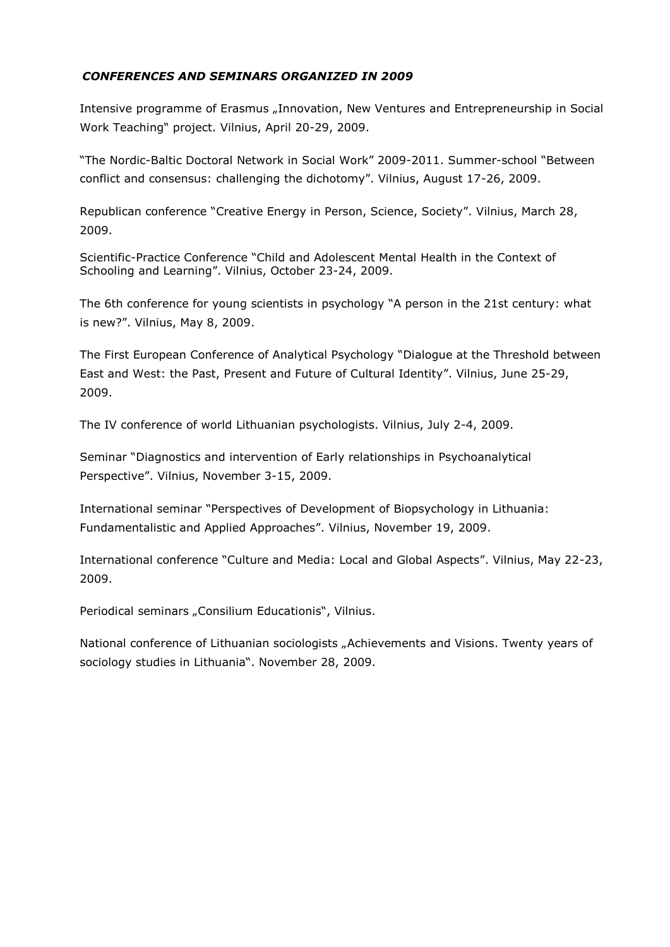# *CONFERENCES AND SEMINARS ORGANIZED IN 2009*

Intensive programme of Erasmus "Innovation, New Ventures and Entrepreneurship in Social Work Teaching" project. Vilnius, April 20-29, 2009.

"The Nordic-Baltic Doctoral Network in Social Work" 2009-2011. Summer-school "Between conflict and consensus: challenging the dichotomy". Vilnius, August 17-26, 2009.

Republican conference "Creative Energy in Person, Science, Society". Vilnius, March 28, 2009.

Scientific-Practice Conference "Child and Adolescent Mental Health in the Context of Schooling and Learning". Vilnius, October 23-24, 2009.

The 6th conference for young scientists in psychology "A person in the 21st century: what is new?". Vilnius, May 8, 2009.

The First European Conference of Analytical Psychology "Dialogue at the Threshold between East and West: the Past, Present and Future of Cultural Identity". Vilnius, June 25-29, 2009.

The IV conference of world Lithuanian psychologists. Vilnius, July 2-4, 2009.

Seminar "Diagnostics and intervention of Early relationships in Psychoanalytical Perspective". Vilnius, November 3-15, 2009.

International seminar "Perspectives of Development of Biopsychology in Lithuania: Fundamentalistic and Applied Approaches". Vilnius, November 19, 2009.

International conference "Culture and Media: Local and Global Aspects". Vilnius, May 22-23, 2009.

Periodical seminars "Consilium Educationis", Vilnius.

National conference of Lithuanian sociologists "Achievements and Visions. Twenty years of sociology studies in Lithuania". November 28, 2009.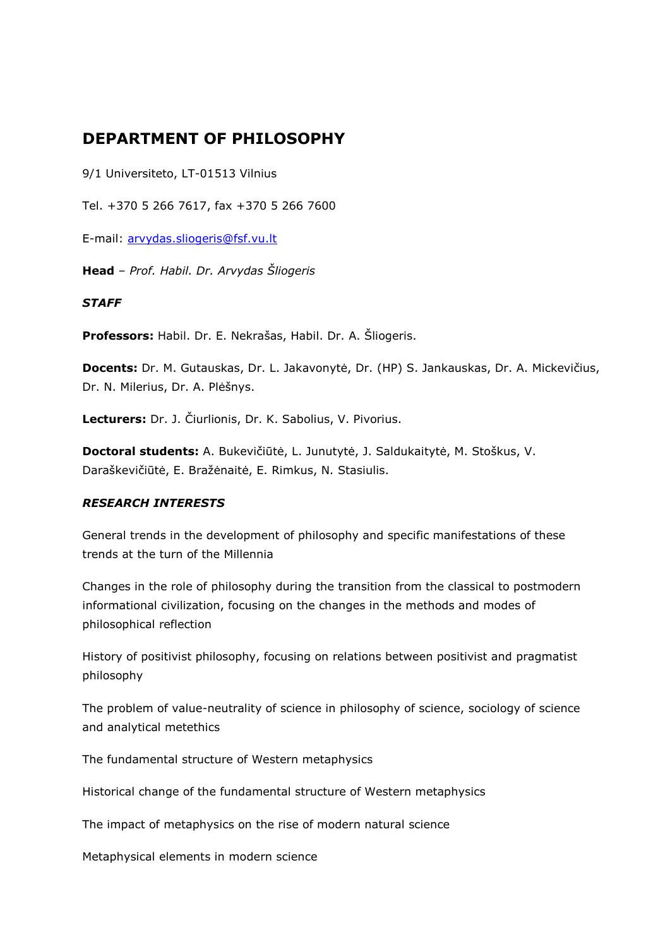# **DEPARTMENT OF PHILOSOPHY**

9/1 Universiteto, LT-01513 Vilnius

Tel. +370 5 266 7617, fax +370 5 266 7600

E-mail: [arvydas.sliogeris@fsf.vu.lt](mailto:arvydas.sliogeris@fsf.vu.lt)

**Head** – *Prof. Habil. Dr. Arvydas Šliogeris*

#### *STAFF*

**Professors:** Habil. Dr. E. Nekrašas, Habil. Dr. A. Šliogeris.

**Docents:** Dr. M. Gutauskas, Dr. L. Jakavonytė, Dr. (HP) S. Jankauskas, Dr. A. Mickevičius, Dr. N. Milerius, Dr. A. Plėšnys.

**Lecturers:** Dr. J. Čiurlionis, Dr. K. Sabolius, V. Pivorius.

**Doctoral students:** A. Bukevičiūtė, L. Junutytė, J. Saldukaitytė, M. Stoškus, V. Daraškevičiūtė, E. Bražėnaitė, E. Rimkus, N. Stasiulis.

#### *RESEARCH INTERESTS*

General trends in the development of philosophy and specific manifestations of these trends at the turn of the Millennia

Changes in the role of philosophy during the transition from the classical to postmodern informational civilization, focusing on the changes in the methods and modes of philosophical reflection

History of positivist philosophy, focusing on relations between positivist and pragmatist philosophy

The problem of value-neutrality of science in philosophy of science, sociology of science and analytical metethics

The fundamental structure of Western metaphysics

Historical change of the fundamental structure of Western metaphysics

The impact of metaphysics on the rise of modern natural science

Metaphysical elements in modern science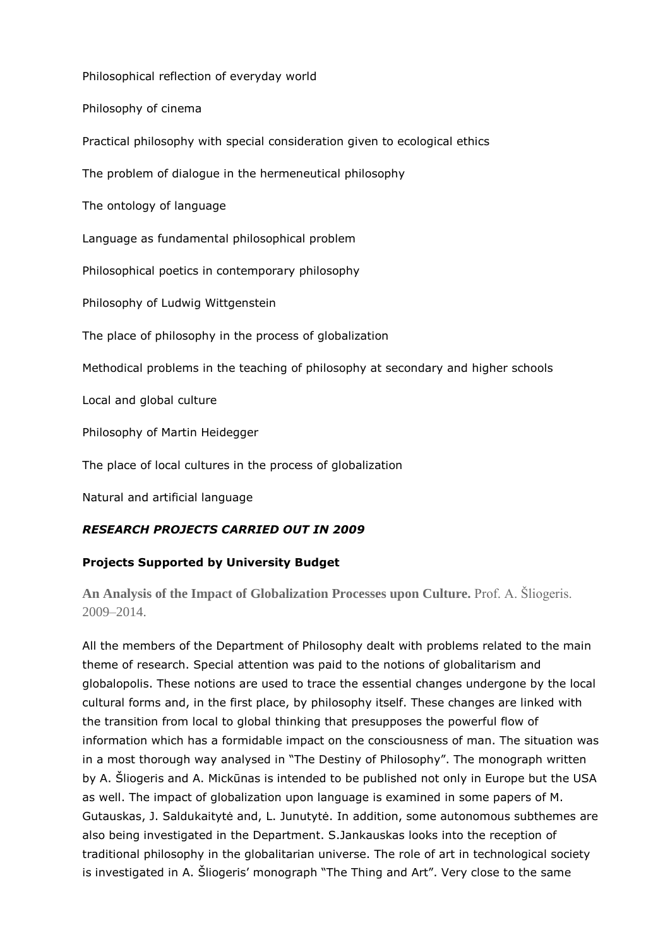Philosophical reflection of everyday world

Philosophy of cinema

Practical philosophy with special consideration given to ecological ethics

The problem of dialogue in the hermeneutical philosophy

The ontology of language

Language as fundamental philosophical problem

Philosophical poetics in contemporary philosophy

Philosophy of Ludwig Wittgenstein

The place of philosophy in the process of globalization

Methodical problems in the teaching of philosophy at secondary and higher schools

Local and global culture

Philosophy of Martin Heidegger

The place of local cultures in the process of globalization

Natural and artificial language

# *RESEARCH PROJECTS CARRIED OUT IN 2009*

# **Projects Supported by University Budget**

**An Analysis of the Impact of Globalization Processes upon Culture.** Prof. A. Šliogeris. 2009–2014.

All the members of the Department of Philosophy dealt with problems related to the main theme of research. Special attention was paid to the notions of globalitarism and globalopolis. These notions are used to trace the essential changes undergone by the local cultural forms and, in the first place, by philosophy itself. These changes are linked with the transition from local to global thinking that presupposes the powerful flow of information which has a formidable impact on the consciousness of man. The situation was in a most thorough way analysed in "The Destiny of Philosophy". The monograph written by A. Šliogeris and A. Mickūnas is intended to be published not only in Europe but the USA as well. The impact of globalization upon language is examined in some papers of M. Gutauskas, J. Saldukaitytė and, L. Junutytė. In addition, some autonomous subthemes are also being investigated in the Department. S.Jankauskas looks into the reception of traditional philosophy in the globalitarian universe. The role of art in technological society is investigated in A. Šliogeris' monograph "The Thing and Art". Very close to the same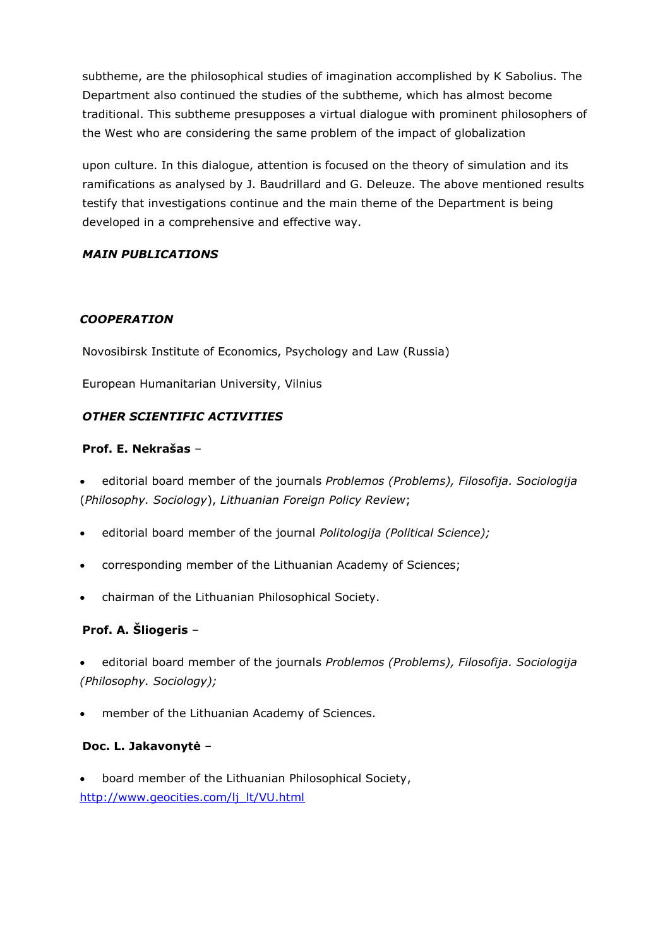subtheme, are the philosophical studies of imagination accomplished by K Sabolius. The Department also continued the studies of the subtheme, which has almost become traditional. This subtheme presupposes a virtual dialogue with prominent philosophers of the West who are considering the same problem of the impact of globalization

upon culture. In this dialogue, attention is focused on the theory of simulation and its ramifications as analysed by J. Baudrillard and G. Deleuze. The above mentioned results testify that investigations continue and the main theme of the Department is being developed in a comprehensive and effective way.

## *MAIN PUBLICATIONS*

#### *COOPERATION*

Novosibirsk Institute of Economics, Psychology and Law (Russia)

European Humanitarian University, Vilnius

## *OTHER SCIENTIFIC ACTIVITIES*

#### **Prof. E. Nekrašas** –

 editorial board member of the journals *Problemos (Problems), Filosofija. Sociologija*  (*Philosophy. Sociology*), *Lithuanian Foreign Policy Review*;

- editorial board member of the journal *Politologija (Political Science);*
- corresponding member of the Lithuanian Academy of Sciences;
- chairman of the Lithuanian Philosophical Society.

# **Prof. A. Šliogeris** –

 editorial board member of the journals *Problemos (Problems), Filosofija. Sociologija (Philosophy. Sociology);*

member of the Lithuanian Academy of Sciences.

#### **Doc. L. Jakavonytė** –

 board member of the Lithuanian Philosophical Society, [http://www.geocities.com/lj\\_lt/VU.html](http://www.geocities.com/lj_lt/VU.html)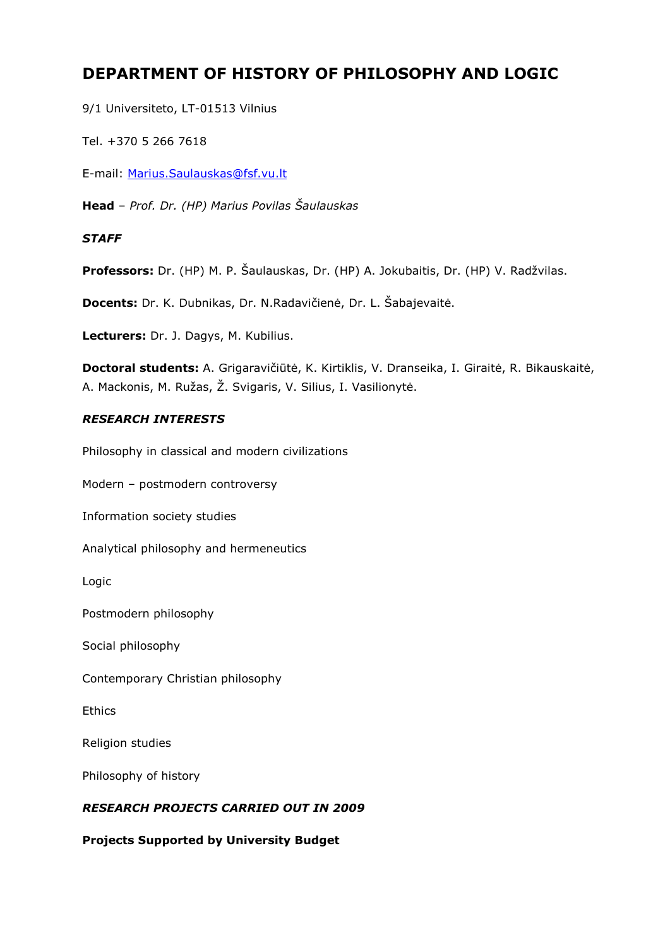# **DEPARTMENT OF HISTORY OF PHILOSOPHY AND LOGIC**

9/1 Universiteto, LT-01513 Vilnius

Tel. +370 5 266 7618

E-mail: [Marius.Saulauskas@fsf.vu.lt](mailto:Marius.Saulauskas@fsf.vu.lt)

**Head** – *Prof. Dr. (HP) Marius Povilas Šaulauskas*

#### *STAFF*

**Professors:** Dr. (HP) M. P. Šaulauskas, Dr. (HP) A. Jokubaitis, Dr. (HP) V. Radžvilas.

**Docents:** Dr. K. Dubnikas, Dr. N.Radavičienė, Dr. L. Šabajevaitė.

**Lecturers:** Dr. J. Dagys, M. Kubilius.

**Doctoral students:** A. Grigaravičiūtė, K. Kirtiklis, V. Dranseika, I. Giraitė, R. Bikauskaitė, A. Mackonis, M. Ružas, Ž. Svigaris, V. Silius, I. Vasilionytė.

#### *RESEARCH INTERESTS*

Philosophy in classical and modern civilizations

Modern – postmodern controversy

Information society studies

Analytical philosophy and hermeneutics

Logic

Postmodern philosophy

Social philosophy

Contemporary Christian philosophy

**Ethics** 

Religion studies

Philosophy of history

#### *RESEARCH PROJECTS CARRIED OUT IN 2009*

**Projects Supported by University Budget**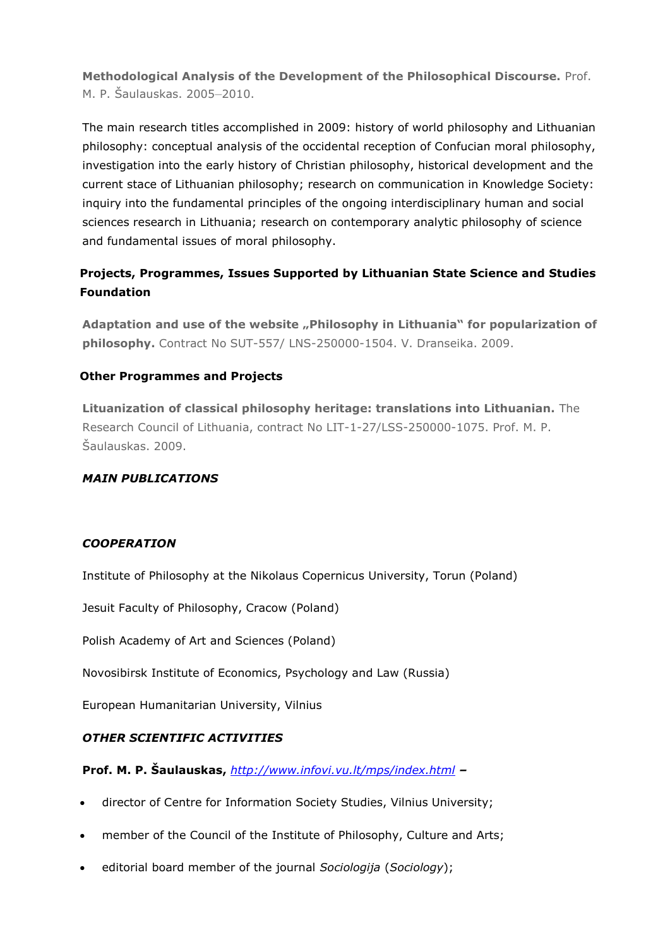**Methodological Analysis of the Development of the Philosophical Discourse.** Prof. M. P. Šaulauskas. 2005–2010.

The main research titles accomplished in 2009: history of world philosophy and Lithuanian philosophy: conceptual analysis of the occidental reception of Confucian moral philosophy, investigation into the early history of Christian philosophy, historical development and the current stace of Lithuanian philosophy; research on communication in Knowledge Society: inquiry into the fundamental principles of the ongoing interdisciplinary human and social sciences research in Lithuania; research on contemporary analytic philosophy of science and fundamental issues of moral philosophy.

# **Projects, Programmes, Issues Supported by Lithuanian State Science and Studies Foundation**

Adaptation and use of the website "Philosophy in Lithuania" for popularization of **philosophy.** Contract No SUT-557/ LNS-250000-1504. V. Dranseika. 2009.

# **Other Programmes and Projects**

**Lituanization of classical philosophy heritage: translations into Lithuanian.** The Research Council of Lithuania, contract No LIT-1-27/LSS-250000-1075. Prof. M. P. Šaulauskas. 2009.

# *MAIN PUBLICATIONS*

#### *COOPERATION*

Institute of Philosophy at the Nikolaus Copernicus University, Torun (Poland)

Jesuit Faculty of Philosophy, Cracow (Poland)

Polish Academy of Art and Sciences (Poland)

Novosibirsk Institute of Economics, Psychology and Law (Russia)

European Humanitarian University, Vilnius

# *OTHER SCIENTIFIC ACTIVITIES*

**Prof. M. P. Šaulauskas,** *<http://www.infovi.vu.lt/mps/index.html> –*

- director of Centre for Information Society Studies, Vilnius University;
- member of the Council of the Institute of Philosophy, Culture and Arts;
- editorial board member of the journal *Sociologija* (*Sociology*);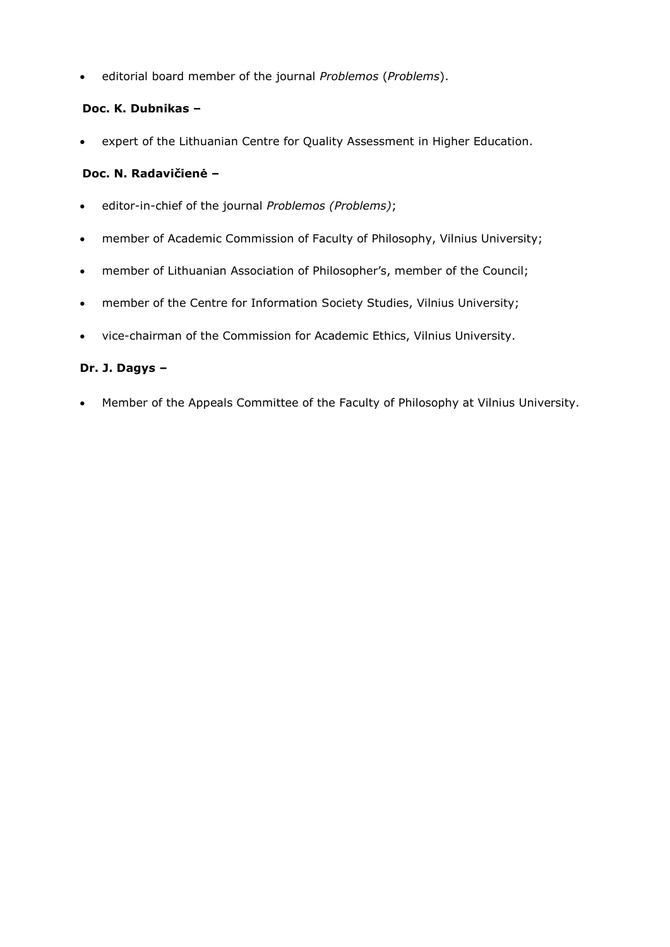editorial board member of the journal *Problemos* (*Problems*).

#### **Doc. K. Dubnikas –**

expert of the Lithuanian Centre for Quality Assessment in Higher Education.

#### **Doc. N. Radavičienė –**

- editor-in-chief of the journal *Problemos (Problems)*;
- member of Academic Commission of Faculty of Philosophy, Vilnius University;
- member of Lithuanian Association of Philosopher's, member of the Council;
- member of the Centre for Information Society Studies, Vilnius University;
- vice-chairman of the Commission for Academic Ethics, Vilnius University.

## **Dr. J. Dagys –**

Member of the Appeals Committee of the Faculty of Philosophy at Vilnius University.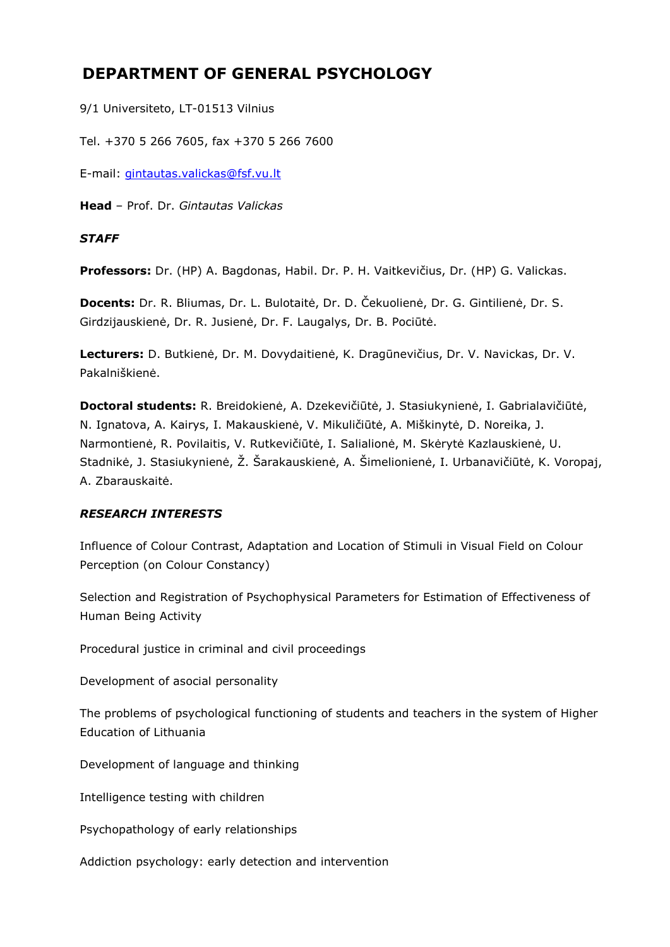# **DEPARTMENT OF GENERAL PSYCHOLOGY**

9/1 Universiteto, LT-01513 Vilnius

Tel. +370 5 266 7605, fax +370 5 266 7600

E-mail: [gintautas.valickas@fsf.vu.lt](mailto:gintautas.valickas@fsf.vu.lt)

**Head** – Prof. Dr. *Gintautas Valickas*

## *STAFF*

**Professors:** Dr. (HP) A. Bagdonas, Habil. Dr. P. H. Vaitkevičius, Dr. (HP) G. Valickas.

**Docents:** Dr. R. Bliumas, Dr. L. Bulotaitė, Dr. D. Čekuolienė, Dr. G. Gintilienė, Dr. S. Girdzijauskienė, Dr. R. Jusienė, Dr. F. Laugalys, Dr. B. Pociūtė.

**Lecturers:** D. Butkienė, Dr. M. Dovydaitienė, K. Dragūnevičius, Dr. V. Navickas, Dr. V. Pakalniškienė.

**Doctoral students:** R. Breidokienė, A. Dzekevičiūtė, J. Stasiukynienė, I. Gabrialavičiūtė, N. Ignatova, A. Kairys, I. Makauskienė, V. Mikuličiūtė, A. Miškinytė, D. Noreika, J. Narmontienė, R. Povilaitis, V. Rutkevičiūtė, I. Salialionė, M. Skėrytė Kazlauskienė, U. Stadnikė, J. Stasiukynienė, Ž. Šarakauskienė, A. Šimelionienė, I. Urbanavičiūtė, K. Voropaj, A. Zbarauskaitė.

# *RESEARCH INTERESTS*

Influence of Colour Contrast, Adaptation and Location of Stimuli in Visual Field on Colour Perception (on Colour Constancy)

Selection and Registration of Psychophysical Parameters for Estimation of Effectiveness of Human Being Activity

Procedural justice in criminal and civil proceedings

Development of asocial personality

The problems of psychological functioning of students and teachers in the system of Higher Education of Lithuania

Development of language and thinking

Intelligence testing with children

Psychopathology of early relationships

Addiction psychology: early detection and intervention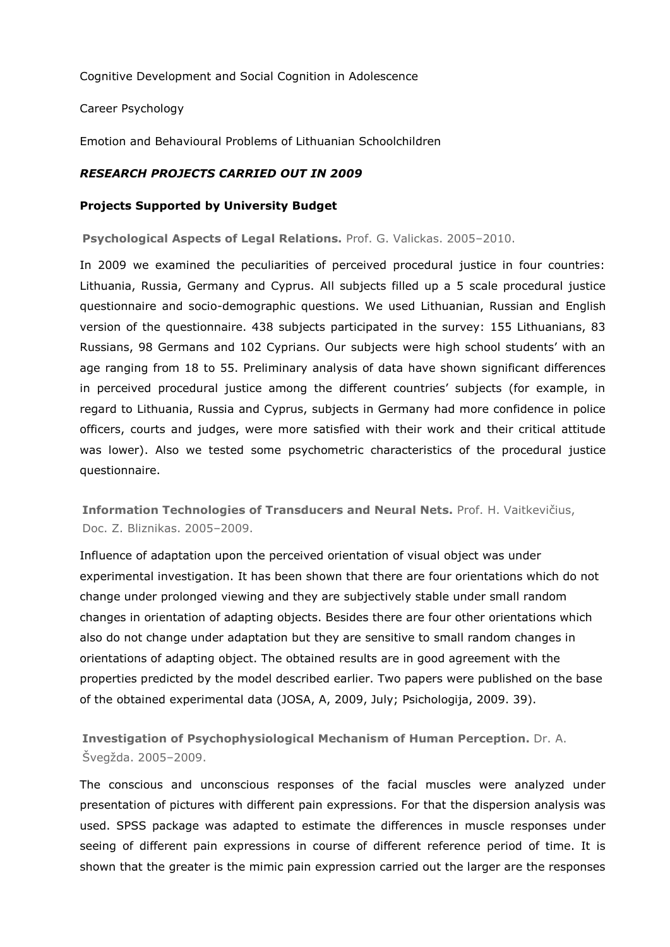Cognitive Development and Social Cognition in Adolescence

Career Psychology

Emotion and Behavioural Problems of Lithuanian Schoolchildren

#### *RESEARCH PROJECTS CARRIED OUT IN 2009*

#### **Projects Supported by University Budget**

**Psychological Aspects of Legal Relations.** Prof. G. Valickas. 2005–2010.

In 2009 we examined the peculiarities of perceived procedural justice in four countries: Lithuania, Russia, Germany and Cyprus. All subjects filled up a 5 scale procedural justice questionnaire and socio-demographic questions. We used Lithuanian, Russian and English version of the questionnaire. 438 subjects participated in the survey: 155 Lithuanians, 83 Russians, 98 Germans and 102 Cyprians. Our subjects were high school students' with an age ranging from 18 to 55. Preliminary analysis of data have shown significant differences in perceived procedural justice among the different countries' subjects (for example, in regard to Lithuania, Russia and Cyprus, subjects in Germany had more confidence in police officers, courts and judges, were more satisfied with their work and their critical attitude was lower). Also we tested some psychometric characteristics of the procedural justice questionnaire.

**Information Technologies of Transducers and Neural Nets.** Prof. H. Vaitkevičius, Doc. Z. Bliznikas. 2005–2009.

Influence of adaptation upon the perceived orientation of visual object was under experimental investigation. It has been shown that there are four orientations which do not change under prolonged viewing and they are subjectively stable under small random changes in orientation of adapting objects. Besides there are four other orientations which also do not change under adaptation but they are sensitive to small random changes in orientations of adapting object. The obtained results are in good agreement with the properties predicted by the model described earlier. Two papers were published on the base of the obtained experimental data (JOSA, A, 2009, July; Psichologija, 2009. 39).

**Investigation of Psychophysiological Mechanism of Human Perception.** Dr. A. Švegžda. 2005–2009.

The conscious and unconscious responses of the facial muscles were analyzed under presentation of pictures with different pain expressions. For that the dispersion analysis was used. SPSS package was adapted to estimate the differences in muscle responses under seeing of different pain expressions in course of different reference period of time. It is shown that the greater is the mimic pain expression carried out the larger are the responses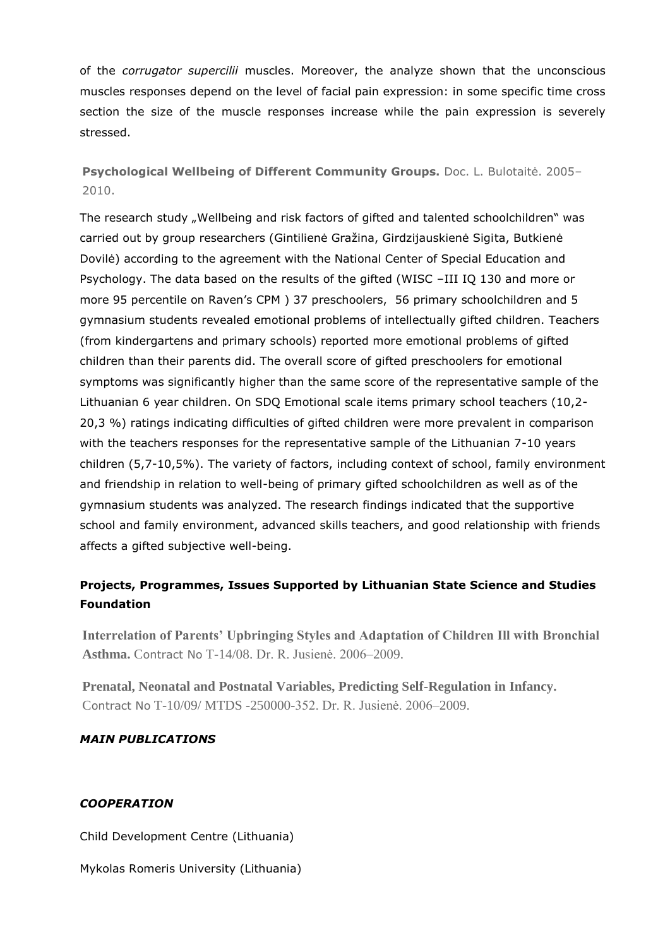of the *corrugator supercilii* muscles. Moreover, the analyze shown that the unconscious muscles responses depend on the level of facial pain expression: in some specific time cross section the size of the muscle responses increase while the pain expression is severely stressed.

**Psychological Wellbeing of Different Community Groups.** Doc. L. Bulotaitė. 2005– 2010.

The research study "Wellbeing and risk factors of gifted and talented schoolchildren" was carried out by group researchers (Gintilienė Gražina, Girdzijauskienė Sigita, Butkienė Dovilė) according to the agreement with the National Center of Special Education and Psychology. The data based on the results of the gifted (WISC –III IQ 130 and more or more 95 percentile on Raven's CPM ) 37 preschoolers, 56 primary schoolchildren and 5 gymnasium students revealed emotional problems of intellectually gifted children. Teachers (from kindergartens and primary schools) reported more emotional problems of gifted children than their parents did. The overall score of gifted preschoolers for emotional symptoms was significantly higher than the same score of the representative sample of the Lithuanian 6 year children. On SDQ Emotional scale items primary school teachers (10,2- 20,3 %) ratings indicating difficulties of gifted children were more prevalent in comparison with the teachers responses for the representative sample of the Lithuanian 7-10 years children (5,7-10,5%). The variety of factors, including context of school, family environment and friendship in relation to well-being of primary gifted schoolchildren as well as of the gymnasium students was analyzed. The research findings indicated that the supportive school and family environment, advanced skills teachers, and good relationship with friends affects a gifted subjective well-being.

# **Projects, Programmes, Issues Supported by Lithuanian State Science and Studies Foundation**

**Interrelation of Parents' Upbringing Styles and Adaptation of Children Ill with Bronchial Asthma.** Contract No T-14/08. Dr. R. Jusienė. 2006–2009.

**Prenatal, Neonatal and Postnatal Variables, Predicting Self-Regulation in Infancy.**  Contract No T-10/09/ MTDS -250000-352. Dr. R. Jusienė. 2006–2009.

# *MAIN PUBLICATIONS*

# *COOPERATION*

Child Development Centre (Lithuania)

Mykolas Romeris University (Lithuania)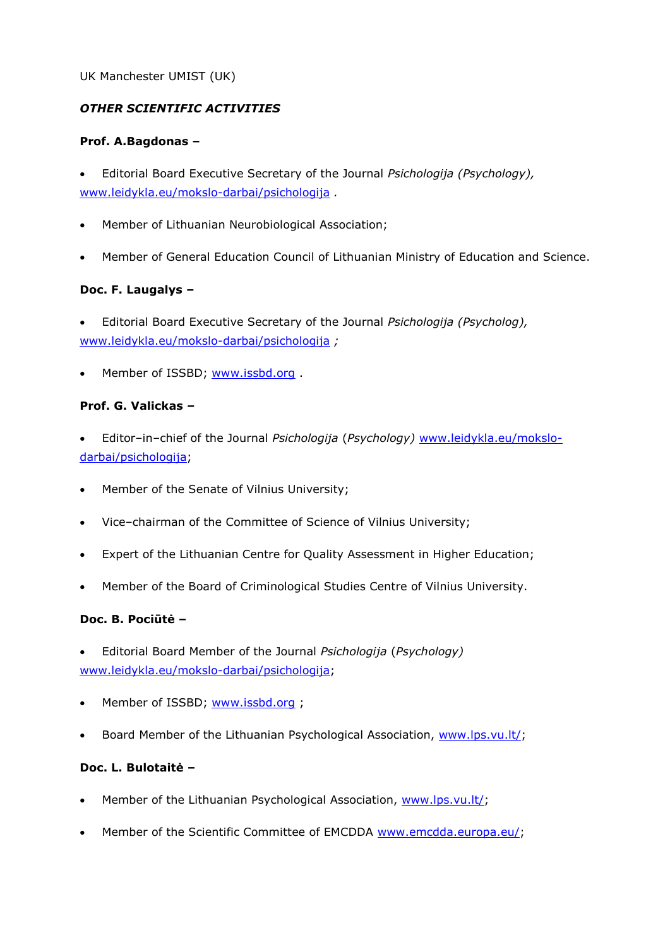#### UK Manchester UMIST (UK)

#### *OTHER SCIENTIFIC ACTIVITIES*

#### **Prof. A.Bagdonas –**

 Editorial Board Executive Secretary of the Journal *Psichologija (Psychology),*  [www.leidykla.eu/mokslo-darbai/psichologija](http://www.leidykla.eu/mokslo-darbai/psichologija) *.*

- Member of Lithuanian Neurobiological Association;
- Member of General Education Council of Lithuanian Ministry of Education and Science.

# **Doc. F. Laugalys –**

- Editorial Board Executive Secretary of the Journal *Psichologija (Psycholog),*  [www.leidykla.eu/mokslo-darbai/psichologija](http://www.leidykla.eu/mokslo-darbai/psichologija) *;*
- Member of ISSBD; [www.issbd.org](http://www.issbd.org/).

#### **Prof. G. Valickas –**

- Editor–in–chief of the Journal *Psichologija* (*Psychology)* [www.leidykla.eu/mokslo](http://www.leidykla.eu/mokslo-darbai/psichologija)[darbai/psichologija;](http://www.leidykla.eu/mokslo-darbai/psichologija)
- Member of the Senate of Vilnius University:
- Vice–chairman of the Committee of Science of Vilnius University;
- Expert of the Lithuanian Centre for Quality Assessment in Higher Education;
- Member of the Board of Criminological Studies Centre of Vilnius University.

#### **Doc. B. Pociūtė –**

- Editorial Board Member of the Journal *Psichologija* (*Psychology)*  [www.leidykla.eu/mokslo-darbai/psichologija;](http://www.leidykla.eu/mokslo-darbai/psichologija)
- Member of ISSBD; [www.issbd.org](http://www.issbd.org/);
- Board Member of the Lithuanian Psychological Association, [www.lps.vu.lt/;](http://www.lps.vu.lt/)

#### **Doc. L. Bulotaitė –**

- Member of the Lithuanian Psychological Association, [www.lps.vu.lt/;](http://www.lps.vu.lt/)
- Member of the Scientific Committee of EMCDDA [www.emcdda.europa.eu/;](http://www.emcdda.europa.eu/)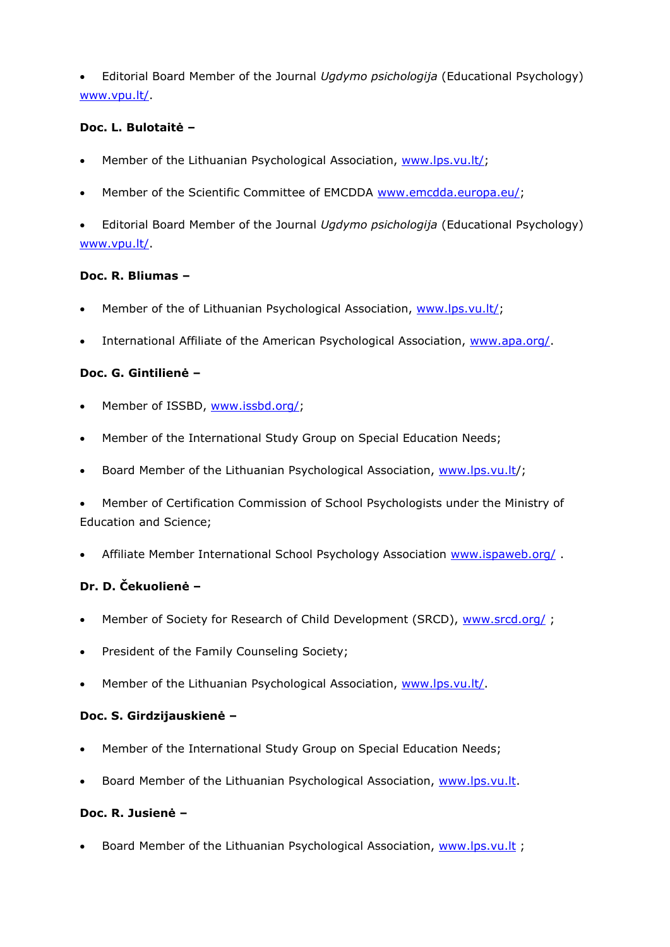Editorial Board Member of the Journal *Ugdymo psichologija* (Educational Psychology) [www.vpu.lt/.](http://www.vpu.lt/)

#### **Doc. L. Bulotaitė –**

- Member of the Lithuanian Psychological Association, [www.lps.vu.lt/;](http://www.lps.vu.lt/)
- Member of the Scientific Committee of EMCDDA [www.emcdda.europa.eu/;](http://www.emcdda.europa.eu/)
- Editorial Board Member of the Journal *Ugdymo psichologija* (Educational Psychology) [www.vpu.lt/.](http://www.vpu.lt/)

#### **Doc. R. Bliumas –**

- Member of the of Lithuanian Psychological Association, [www.lps.vu.lt/;](http://www.lps.vu.lt/)
- International Affiliate of the American Psychological Association, [www.apa.org/.](http://www.apa.org/)

## **Doc. G. Gintilienė –**

- Member of ISSBD, [www.issbd.org/;](http://www.issbd.org/)
- Member of the International Study Group on Special Education Needs;
- Board Member of the Lithuanian Psychological Association, [www.lps.vu.lt/](http://www.lps.vu.lt/);
- Member of Certification Commission of School Psychologists under the Ministry of Education and Science;
- Affiliate Member International School Psychology Association [www.ispaweb.org/](http://www.ispaweb.org/) .

# **Dr. D. Čekuolienė –**

- Member of Society for Research of Child Development (SRCD), [www.srcd.org/](http://www.srcd.org/);
- President of the Family Counseling Society;
- Member of the Lithuanian Psychological Association, [www.lps.vu.lt/.](http://www.lps.vu.lt/)

#### **Doc. S. Girdzijauskienė –**

- Member of the International Study Group on Special Education Needs;
- Board Member of the Lithuanian Psychological Association, [www.lps.vu.lt.](http://www.lps.vu.lt/)

#### **Doc. R. Jusienė –**

Board Member of the Lithuanian Psychological Association, [www.lps.vu.lt](http://www.lps.vu.lt/);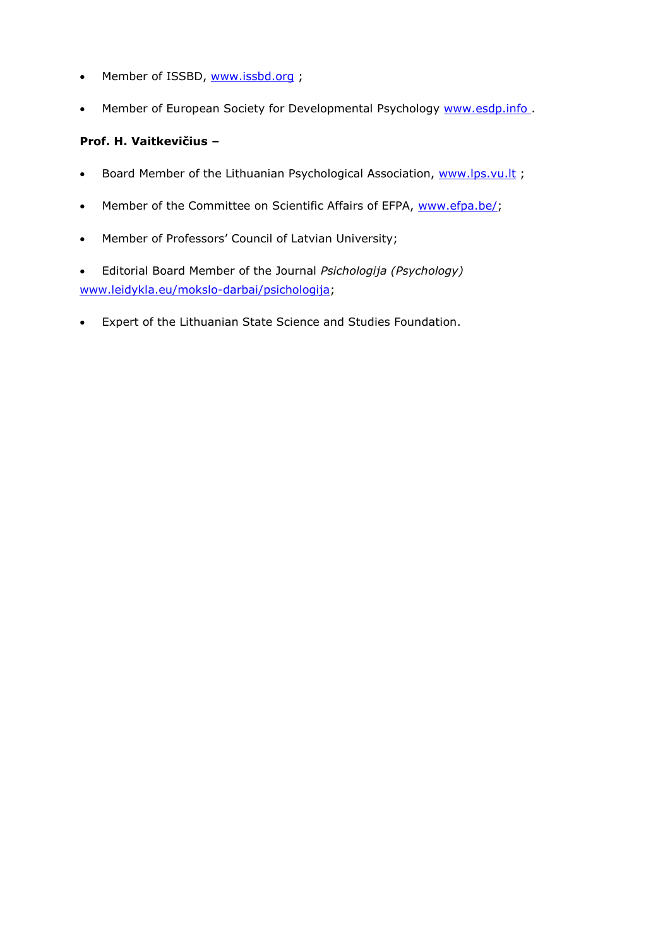- Member of ISSBD, [www.issbd.org](http://www.issbd.org/) ;
- Member of European Society for Developmental Psychology [www.esdp.info](http://www.esdp.info/).

## **Prof. H. Vaitkevičius –**

- Board Member of the Lithuanian Psychological Association, [www.lps.vu.lt](http://www.lps.vu.lt/);
- Member of the Committee on Scientific Affairs of EFPA, [www.efpa.be/;](http://www.efpa.be/)
- Member of Professors' Council of Latvian University;
- Editorial Board Member of the Journal *Psichologija (Psychology)*  [www.leidykla.eu/mokslo-darbai/psichologija;](http://www.leidykla.eu/mokslo-darbai/psichologija)
- Expert of the Lithuanian State Science and Studies Foundation.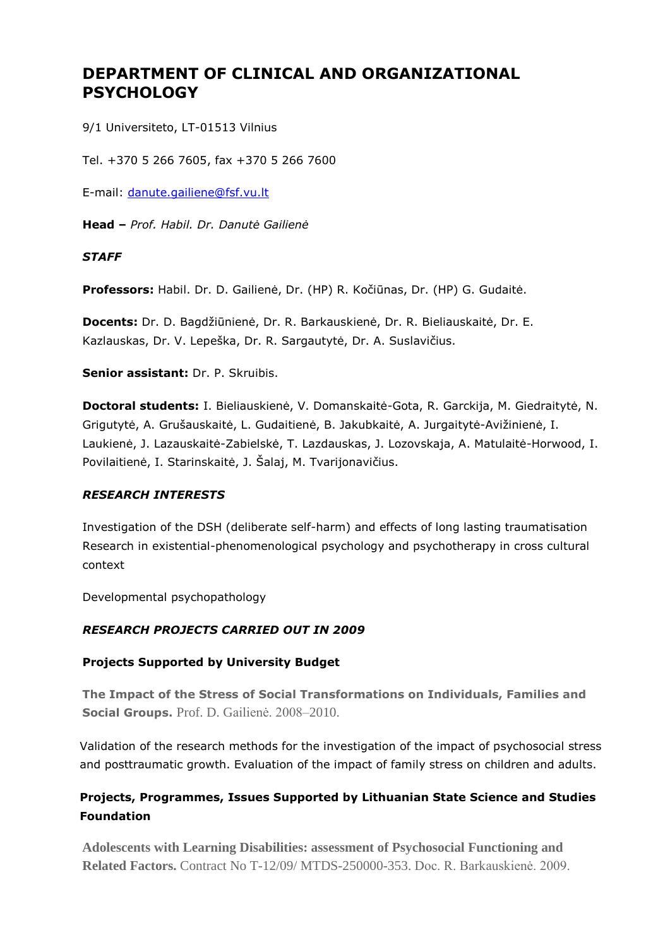# **DEPARTMENT OF CLINICAL AND ORGANIZATIONAL PSYCHOLOGY**

9/1 Universiteto, LT-01513 Vilnius

Tel. +370 5 266 7605, fax +370 5 266 7600

E-mail: [danute.gailiene@fsf.vu.lt](mailto:danute.gailiene@fsf.vu.lt)

**Head –** *Prof. Habil. Dr. Danutė Gailienė*

## *STAFF*

**Professors:** Habil. Dr. D. Gailienė, Dr. (HP) R. Kočiūnas, Dr. (HP) G. Gudaitė.

**Docents:** Dr. D. Bagdžiūnienė, Dr. R. Barkauskienė, Dr. R. Bieliauskaitė, Dr. E. Kazlauskas, Dr. V. Lepeška, Dr. R. Sargautytė, Dr. A. Suslavičius.

**Senior assistant:** Dr. P. Skruibis.

**Doctoral students:** I. Bieliauskienė, V. Domanskaitė-Gota, R. Garckija, M. Giedraitytė, N. Grigutytė, A. Grušauskaitė, L. Gudaitienė, B. Jakubkaitė, A. Jurgaitytė-Avižinienė, I. Laukienė, J. Lazauskaitė-Zabielskė, T. Lazdauskas, J. Lozovskaja, A. Matulaitė-Horwood, I. Povilaitienė, I. Starinskaitė, J. Šalaj, M. Tvarijonavičius.

#### *RESEARCH INTERESTS*

Investigation of the DSH (deliberate self-harm) and effects of long lasting traumatisation Research in existential-phenomenological psychology and psychotherapy in cross cultural context

Developmental psychopathology

# *RESEARCH PROJECTS CARRIED OUT IN 2009*

#### **Projects Supported by University Budget**

**The Impact of the Stress of Social Transformations on Individuals, Families and Social Groups.** Prof. D. Gailienė. 2008–2010.

Validation of the research methods for the investigation of the impact of psychosocial stress and posttraumatic growth. Evaluation of the impact of family stress on children and adults.

# **Projects, Programmes, Issues Supported by Lithuanian State Science and Studies Foundation**

**Adolescents with Learning Disabilities: assessment of Psychosocial Functioning and Related Factors.** Contract No T-12/09/ MTDS-250000-353. Doc. R. Barkauskienė. 2009.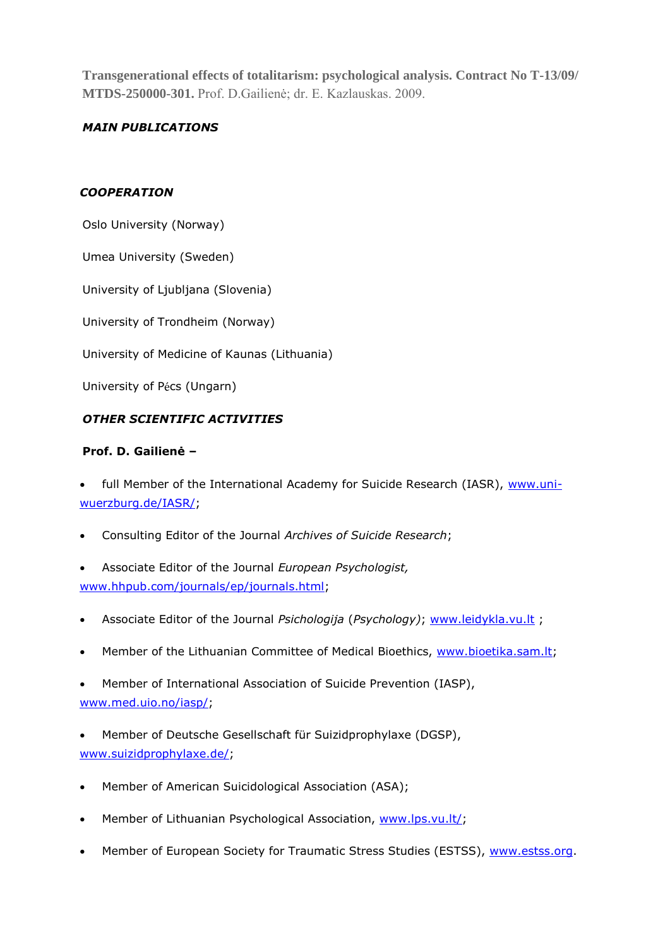**Transgenerational effects of totalitarism: psychological analysis. Contract No T-13/09/ MTDS-250000-301.** Prof. D.Gailienė; dr. E. Kazlauskas. 2009.

# *MAIN PUBLICATIONS*

#### *COOPERATION*

Oslo University (Norway)

Umea University (Sweden)

University of Ljubljana (Slovenia)

University of Trondheim (Norway)

University of Medicine of Kaunas (Lithuania)

University of Pécs (Ungarn)

#### *OTHER SCIENTIFIC ACTIVITIES*

#### **Prof. D. Gailienė –**

full Member of the International Academy for Suicide Research (IASR), [www.uni](http://www.uni-wuerzburg.de/IASR/)[wuerzburg.de/IASR/;](http://www.uni-wuerzburg.de/IASR/)

- Consulting Editor of the Journal *Archives of Suicide Research*;
- Associate Editor of the Journal *European Psychologist,* [www.hhpub.com/journals/ep/journals.html;](http://www.hhpub.com/journals/ep/journals.html)
- Associate Editor of the Journal *Psichologija* (*Psychology)*; [www.leidykla.vu.lt](http://www.leidykla.vu.lt/) ;
- Member of the Lithuanian Committee of Medical Bioethics, [www.bioetika.sam.lt;](http://www.bioetika.sam.lt/)

 Member of International Association of Suicide Prevention (IASP), [www.med.uio.no/iasp/;](http://www.med.uio.no/iasp/)

 Member of Deutsche Gesellschaft für Suizidprophylaxe (DGSP), [www.suizidprophylaxe.de/;](http://www.suizidprophylaxe.de/)

- Member of American Suicidological Association (ASA);
- Member of Lithuanian Psychological Association, [www.lps.vu.lt/;](http://www.lps.vu.lt/)
- Member of European Society for Traumatic Stress Studies (ESTSS), [www.estss.org.](http://www.estss.org/)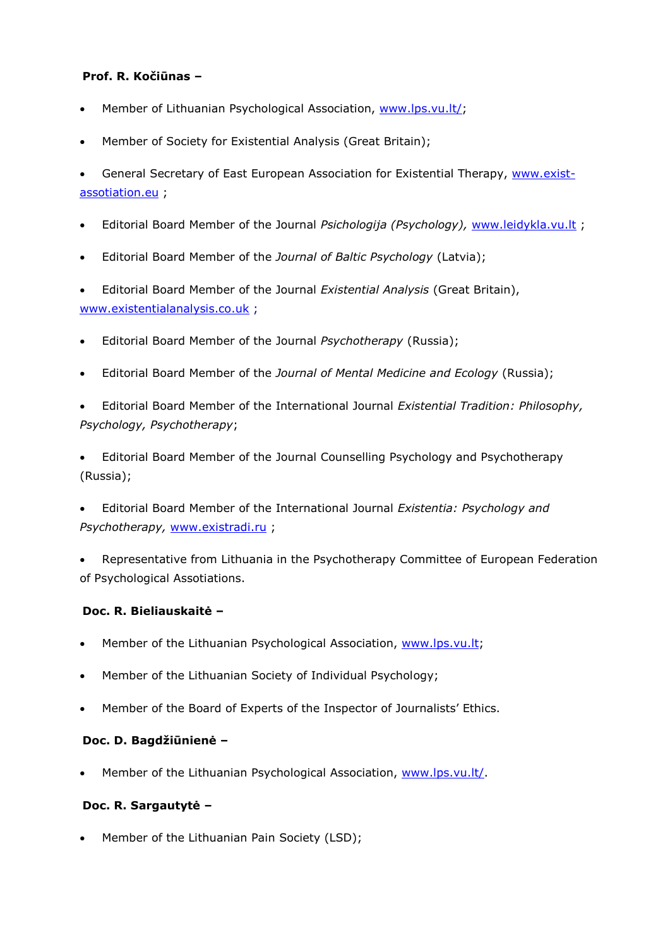#### **Prof. R. Kočiūnas –**

- Member of Lithuanian Psychological Association, [www.lps.vu.lt/;](http://www.lps.vu.lt/)
- Member of Society for Existential Analysis (Great Britain);
- General Secretary of East European Association for Existential Therapy, [www.exist](http://www.exist-assotiation.eu/)[assotiation.eu](http://www.exist-assotiation.eu/) ;
- Editorial Board Member of the Journal *Psichologija (Psychology),* [www.leidykla.vu.lt](http://www.leidykla.vu.lt/) ;
- Editorial Board Member of the *Journal of Baltic Psychology* (Latvia);
- Editorial Board Member of the Journal *Existential Analysis* (Great Britain), [www.existentialanalysis.co.uk](http://www.existentialanalysis.co.uk/) ;
- Editorial Board Member of the Journal *Psychotherapy* (Russia);
- Editorial Board Member of the *Journal of Mental Medicine and Ecology* (Russia);
- Editorial Board Member of the International Journal *Existential Tradition: Philosophy, Psychology, Psychotherapy*;
- Editorial Board Member of the Journal Counselling Psychology and Psychotherapy (Russia);
- Editorial Board Member of the International Journal *Existentia: Psychology and Psychotherapy,* [www.existradi.ru](http://www.existradi.ru/) ;
- Representative from Lithuania in the Psychotherapy Committee of European Federation of Psychological Assotiations.

#### **Doc. R. Bieliauskaitė –**

- Member of the Lithuanian Psychological Association, [www.lps.vu.lt;](http://www.lps.vu.lt/)
- Member of the Lithuanian Society of Individual Psychology;
- Member of the Board of Experts of the Inspector of Journalists' Ethics.

#### **Doc. D. Bagdžiūnienė –**

Member of the Lithuanian Psychological Association, [www.lps.vu.lt/.](http://www.lps.vu.lt/)

#### **Doc. R. Sargautytė –**

Member of the Lithuanian Pain Society (LSD);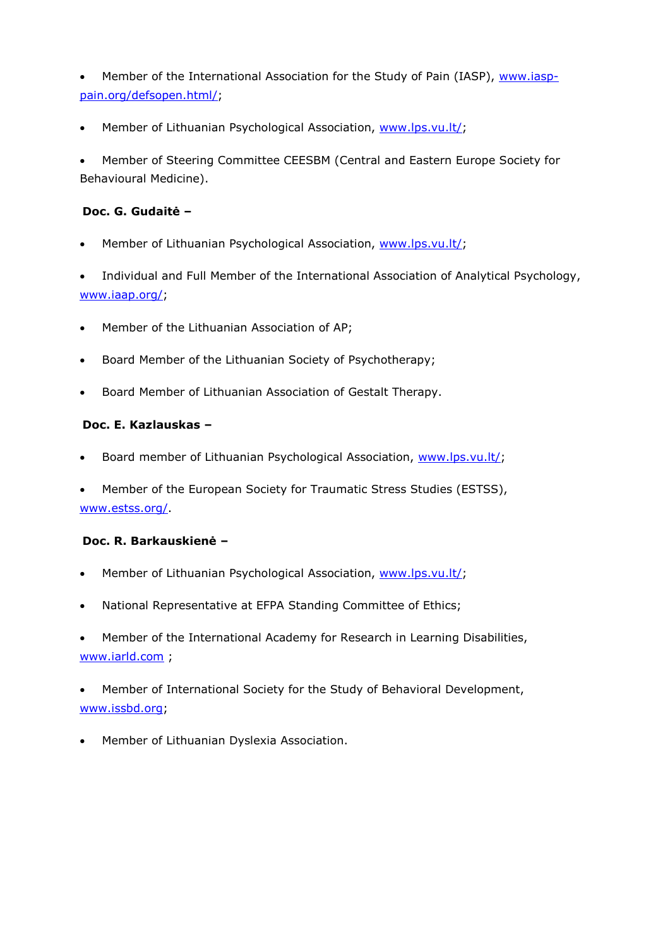Member of the International Association for the Study of Pain (IASP), [www.iasp](http://www.iasp-pain.org/defsopen.html/)[pain.org/defsopen.html/;](http://www.iasp-pain.org/defsopen.html/)

Member of Lithuanian Psychological Association, [www.lps.vu.lt/;](http://www.lps.vu.lt/)

 Member of Steering Committee CEESBM (Central and Eastern Europe Society for Behavioural Medicine).

#### **Doc. G. Gudaitė –**

Member of Lithuanian Psychological Association, [www.lps.vu.lt/;](http://www.lps.vu.lt/)

 Individual and Full Member of the International Association of Analytical Psychology, [www.iaap.org/;](http://www.iaap.org/)

- Member of the Lithuanian Association of AP;
- Board Member of the Lithuanian Society of Psychotherapy;
- Board Member of Lithuanian Association of Gestalt Therapy.

#### **Doc. E. Kazlauskas –**

- Board member of Lithuanian Psychological Association, [www.lps.vu.lt/;](http://www.lps.vu.lt/)
- Member of the European Society for Traumatic Stress Studies (ESTSS), [www.estss.org/.](http://www.estss.org/)

#### **Doc. R. Barkauskienė –**

- Member of Lithuanian Psychological Association, [www.lps.vu.lt/;](http://www.lps.vu.lt/)
- National Representative at EFPA Standing Committee of Ethics;
- Member of the International Academy for Research in Learning Disabilities, [www.iarld.com](http://www.iarld.com/) ;
- Member of International Society for the Study of Behavioral Development, [www.issbd.org;](http://www.issbd.org/)
- Member of Lithuanian Dyslexia Association.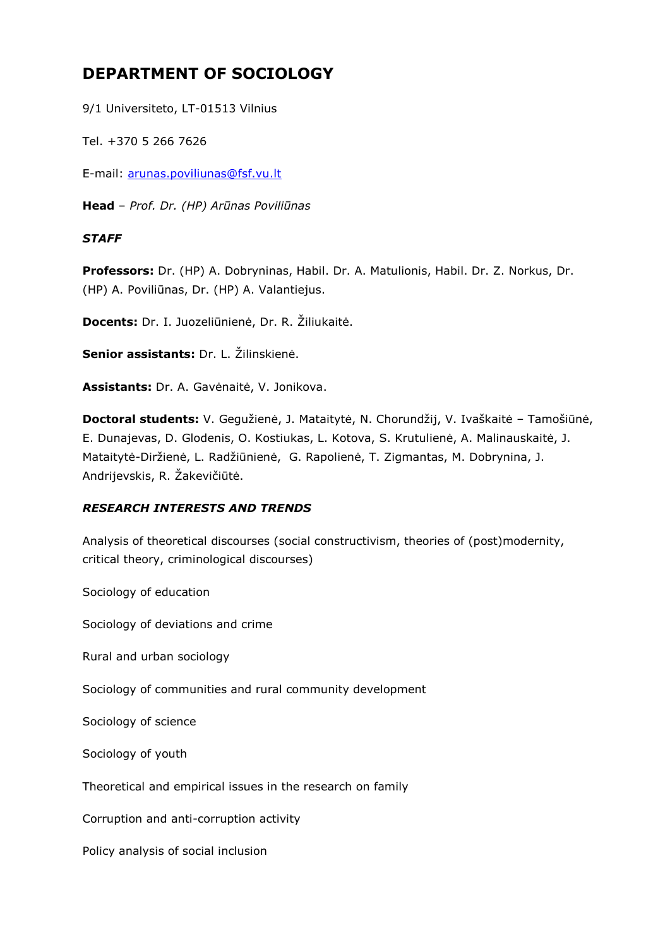# **DEPARTMENT OF SOCIOLOGY**

9/1 Universiteto, LT-01513 Vilnius

Tel. +370 5 266 7626

E-mail: [arunas.poviliunas@fsf.vu.lt](mailto:arunas.poviliunas@fsf.vu.lt)

**Head** – *Prof. Dr. (HP) Arūnas Poviliūnas*

#### *STAFF*

**Professors:** Dr. (HP) A. Dobryninas, Habil. Dr. A. Matulionis, Habil. Dr. Z. Norkus, Dr. (HP) A. Poviliūnas, Dr. (HP) A. Valantiejus.

**Docents:** Dr. I. Juozeliūnienė, Dr. R. Žiliukaitė.

**Senior assistants:** Dr. L. Žilinskienė.

**Assistants:** Dr. A. Gavėnaitė, V. Jonikova.

**Doctoral students:** V. Gegužienė, J. Mataitytė, N. Chorundžij, V. Ivaškaitė – Tamošiūnė, E. Dunajevas, D. Glodenis, O. Kostiukas, L. Kotova, S. Krutulienė, A. Malinauskaitė, J. Mataitytė-Diržienė, L. Radžiūnienė, G. Rapolienė, T. Zigmantas, M. Dobrynina, J. Andrijevskis, R. Žakevičiūtė.

#### *RESEARCH INTERESTS AND TRENDS*

Analysis of theoretical discourses (social constructivism, theories of (post)modernity, critical theory, criminological discourses)

Sociology of education

Sociology of deviations and crime

Rural and urban sociology

Sociology of communities and rural community development

Sociology of science

Sociology of youth

Theoretical and empirical issues in the research on family

Corruption and anti-corruption activity

Policy analysis of social inclusion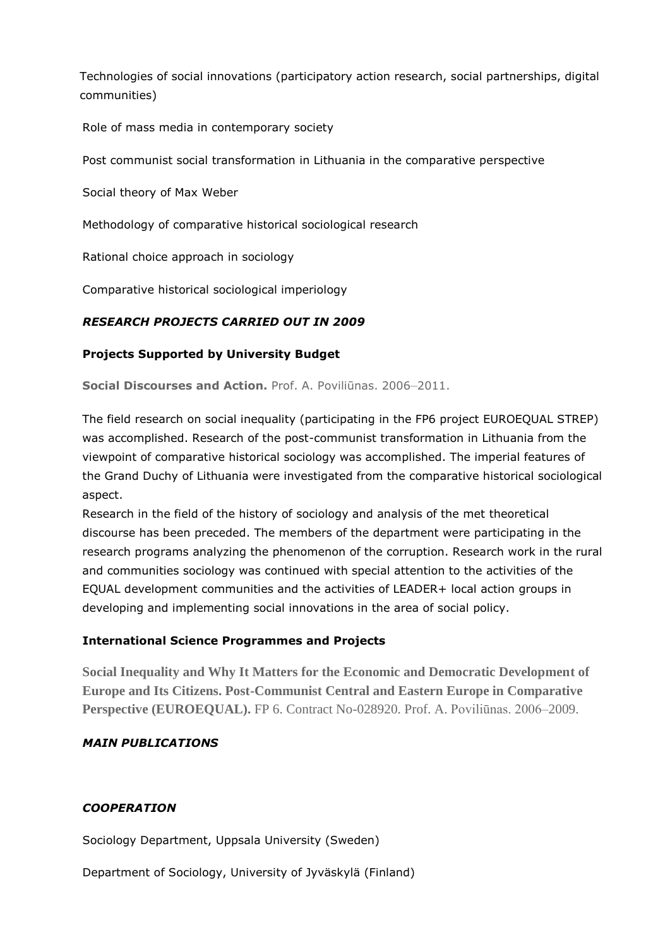Technologies of social innovations (participatory action research, social partnerships, digital communities)

Role of mass media in contemporary society

Post communist social transformation in Lithuania in the comparative perspective

Social theory of Max Weber

Methodology of comparative historical sociological research

Rational choice approach in sociology

Comparative historical sociological imperiology

# *RESEARCH PROJECTS CARRIED OUT IN 2009*

## **Projects Supported by University Budget**

**Social Discourses and Action.** Prof. A. Poviliūnas. 2006–2011.

The field research on social inequality (participating in the FP6 project EUROEQUAL STREP) was accomplished. Research of the post-communist transformation in Lithuania from the viewpoint of comparative historical sociology was accomplished. The imperial features of the Grand Duchy of Lithuania were investigated from the comparative historical sociological aspect.

Research in the field of the history of sociology and analysis of the met theoretical discourse has been preceded. The members of the department were participating in the research programs analyzing the phenomenon of the corruption. Research work in the rural and communities sociology was continued with special attention to the activities of the EQUAL development communities and the activities of LEADER+ local action groups in developing and implementing social innovations in the area of social policy.

#### **International Science Programmes and Projects**

**Social Inequality and Why It Matters for the Economic and Democratic Development of Europe and Its Citizens. Post-Communist Central and Eastern Europe in Comparative Perspective (EUROEQUAL).** FP 6. Contract No-028920. Prof. A. Poviliūnas. 2006–2009.

#### *MAIN PUBLICATIONS*

#### *COOPERATION*

Sociology Department, Uppsala University (Sweden)

Department of Sociology, University of Jyväskylä (Finland)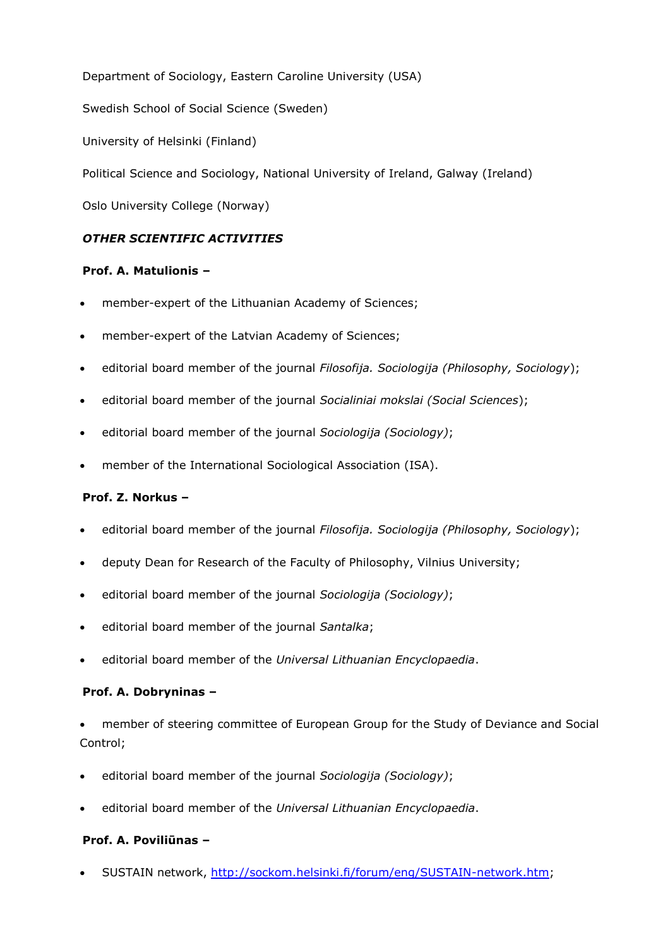Department of Sociology, Eastern Caroline University (USA)

Swedish School of Social Science (Sweden)

University of Helsinki (Finland)

Political Science and Sociology, National University of Ireland, Galway (Ireland)

Oslo University College (Norway)

# *OTHER SCIENTIFIC ACTIVITIES*

#### **Prof. A. Matulionis –**

- member-expert of the Lithuanian Academy of Sciences;
- member-expert of the Latvian Academy of Sciences;
- editorial board member of the journal *Filosofija. Sociologija (Philosophy, Sociology*);
- editorial board member of the journal *Socialiniai mokslai (Social Sciences*);
- editorial board member of the journal *Sociologija (Sociology)*;
- member of the International Sociological Association (ISA).

# **Prof. Z. Norkus –**

- editorial board member of the journal *Filosofija. Sociologija (Philosophy, Sociology*);
- deputy Dean for Research of the Faculty of Philosophy, Vilnius University;
- editorial board member of the journal *Sociologija (Sociology)*;
- editorial board member of the journal *Santalka*;
- editorial board member of the *Universal Lithuanian Encyclopaedia*.

#### **Prof. A. Dobryninas –**

 member of steering committee of European Group for the Study of Deviance and Social Control;

- editorial board member of the journal *Sociologija (Sociology)*;
- editorial board member of the *Universal Lithuanian Encyclopaedia*.

# **Prof. A. Poviliūnas –**

SUSTAIN network, [http://sockom.helsinki.fi/forum/eng/SUSTAIN-network.htm;](http://sockom.helsinki.fi/forum/eng/SUSTAIN-network.htm)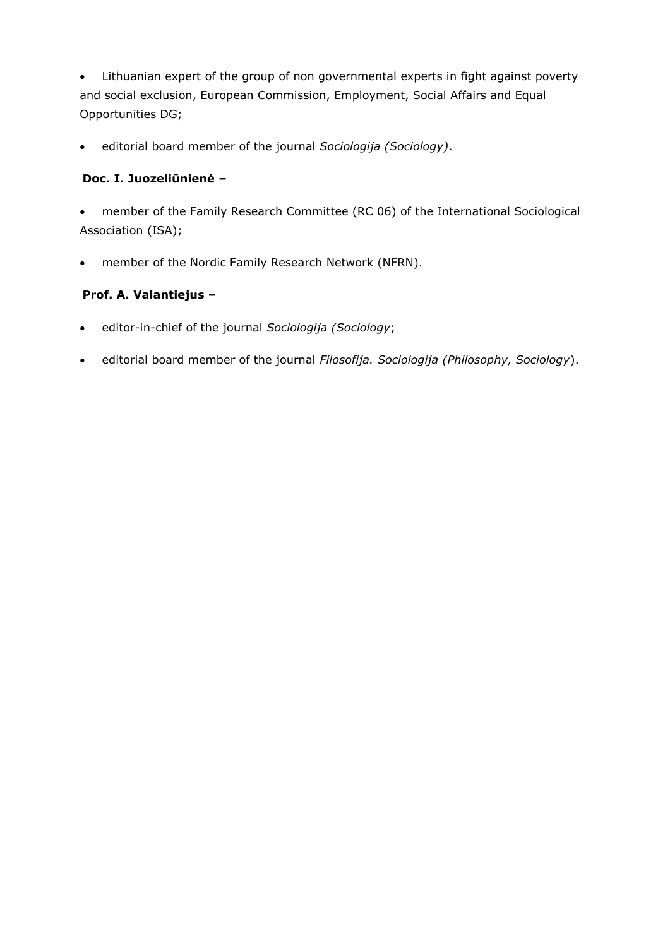Lithuanian expert of the group of non governmental experts in fight against poverty and social exclusion, European Commission, Employment, Social Affairs and Equal Opportunities DG;

editorial board member of the journal *Sociologija (Sociology)*.

# **Doc. I. Juozeliūnienė –**

 member of the Family Research Committee (RC 06) of the International Sociological Association (ISA);

member of the Nordic Family Research Network (NFRN).

# **Prof. A. Valantiejus –**

- editor-in-chief of the journal *Sociologija (Sociology*;
- editorial board member of the journal *Filosofija. Sociologija (Philosophy, Sociology*).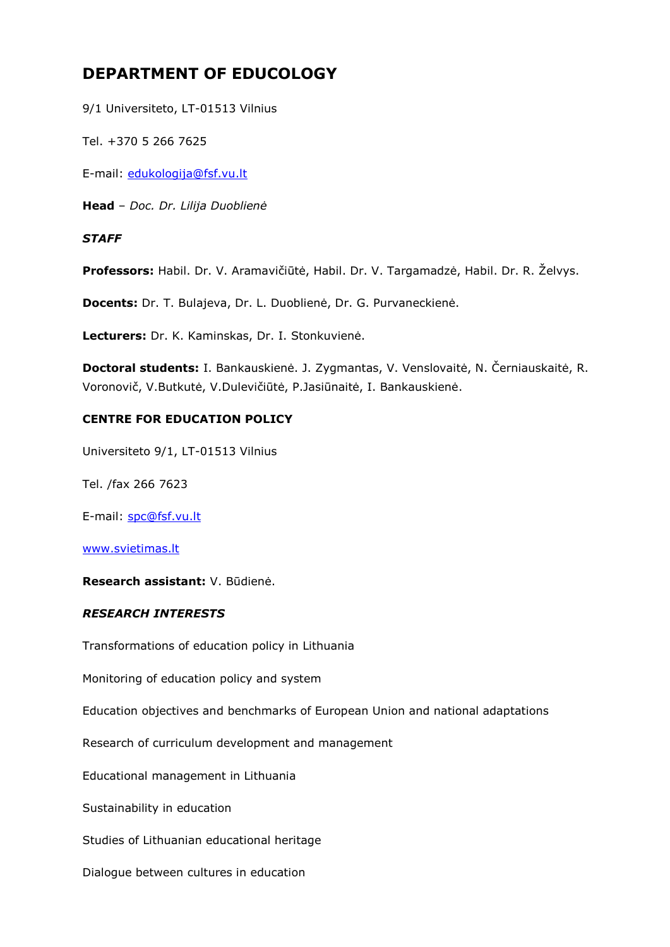# **DEPARTMENT OF EDUCOLOGY**

9/1 Universiteto, LT-01513 Vilnius

Tel. +370 5 266 7625

E-mail: [edukologija@fsf.vu.lt](mailto:edukologija@fsf.vu.lt)

**Head** – *Doc. Dr. Lilija Duoblienė*

#### *STAFF*

**Professors:** Habil. Dr. V. Aramavičiūtė, Habil. Dr. V. Targamadzė, Habil. Dr. R. Želvys.

**Docents:** Dr. T. Bulajeva, Dr. L. Duoblienė, Dr. G. Purvaneckienė.

**Lecturers:** Dr. K. Kaminskas, Dr. I. Stonkuvienė.

**Doctoral students:** I. Bankauskienė. J. Zygmantas, V. Venslovaitė, N. Černiauskaitė, R. Voronovič, V.Butkutė, V.Dulevičiūtė, P.Jasiūnaitė, I. Bankauskienė.

#### **CENTRE FOR EDUCATION POLICY**

Universiteto 9/1, LT-01513 Vilnius

Tel. /fax 266 7623

E-mail: [spc@fsf.vu.lt](mailto:spc@fsf.vu.lt)

[www.svietimas.lt](http://www.svietimas.lt/)

**Research assistant:** V. Būdienė.

#### *RESEARCH INTERESTS*

Transformations of education policy in Lithuania

Monitoring of education policy and system

Education objectives and benchmarks of European Union and national adaptations

Research of curriculum development and management

Educational management in Lithuania

Sustainability in education

Studies of Lithuanian educational heritage

Dialogue between cultures in education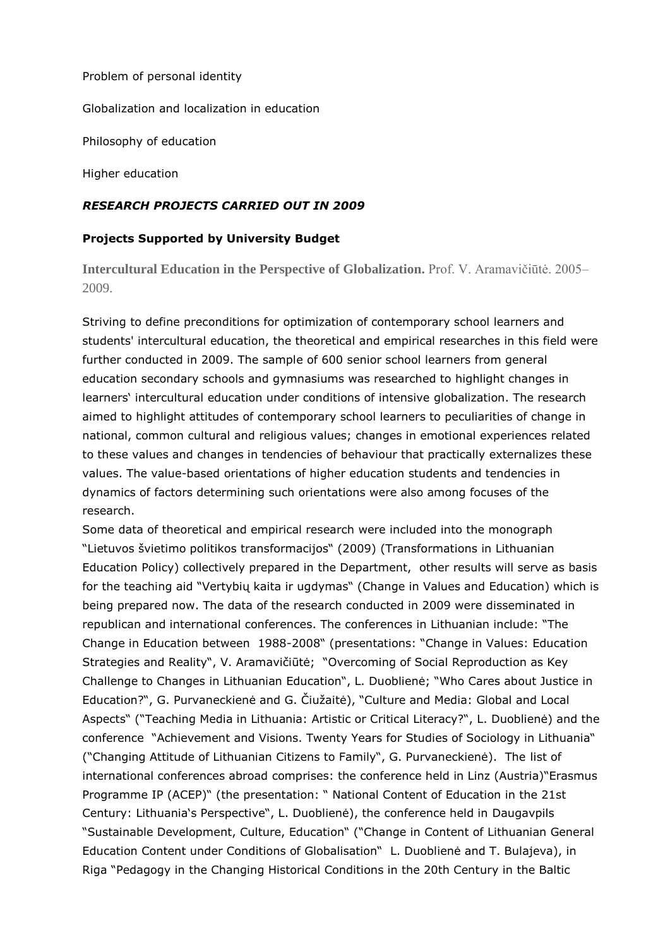#### Problem of personal identity

Globalization and localization in education

Philosophy of education

Higher education

#### *RESEARCH PROJECTS CARRIED OUT IN 2009*

#### **Projects Supported by University Budget**

**Intercultural Education in the Perspective of Globalization.** Prof. V. Aramavičiūtė. 2005– 2009.

Striving to define preconditions for optimization of contemporary school learners and students' intercultural education, the theoretical and empirical researches in this field were further conducted in 2009. The sample of 600 senior school learners from general education secondary schools and gymnasiums was researched to highlight changes in learners' intercultural education under conditions of intensive globalization. The research aimed to highlight attitudes of contemporary school learners to peculiarities of change in national, common cultural and religious values; changes in emotional experiences related to these values and changes in tendencies of behaviour that practically externalizes these values. The value-based orientations of higher education students and tendencies in dynamics of factors determining such orientations were also among focuses of the research.

Some data of theoretical and empirical research were included into the monograph "Lietuvos švietimo politikos transformacijos" (2009) (Transformations in Lithuanian Education Policy) collectively prepared in the Department, other results will serve as basis for the teaching aid "Vertybių kaita ir ugdymas" (Change in Values and Education) which is being prepared now. The data of the research conducted in 2009 were disseminated in republican and international conferences. The conferences in Lithuanian include: "The Change in Education between 1988-2008" (presentations: "Change in Values: Education Strategies and Reality", V. Aramavičiūtė; "Overcoming of Social Reproduction as Key Challenge to Changes in Lithuanian Education", L. Duoblienė; "Who Cares about Justice in Education?", G. Purvaneckienė and G. Čiužaitė), "Culture and Media: Global and Local Aspects" ("Teaching Media in Lithuania: Artistic or Critical Literacy?", L. Duoblienė) and the conference "Achievement and Visions. Twenty Years for Studies of Sociology in Lithuania" ("Changing Attitude of Lithuanian Citizens to Family", G. Purvaneckienė). The list of international conferences abroad comprises: the conference held in Linz (Austria)"Erasmus Programme IP (ACEP)" (the presentation: " National Content of Education in the 21st Century: Lithuania's Perspective", L. Duoblienė), the conference held in Daugavpils "Sustainable Development, Culture, Education" ("Change in Content of Lithuanian General Education Content under Conditions of Globalisation" L. Duoblienė and T. Bulajeva), in Riga "Pedagogy in the Changing Historical Conditions in the 20th Century in the Baltic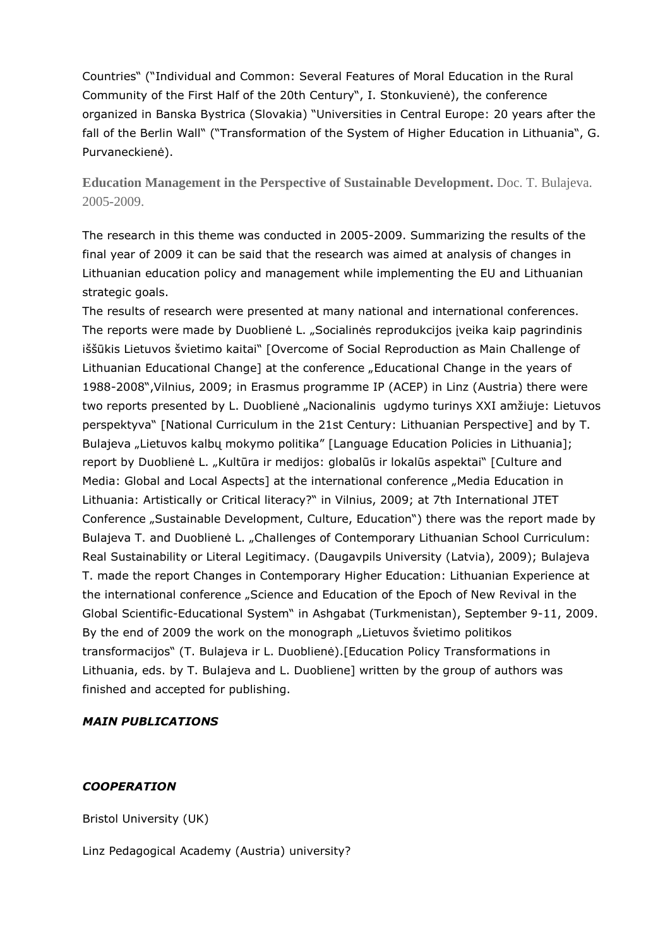Countries" ("Individual and Common: Several Features of Moral Education in the Rural Community of the First Half of the 20th Century", I. Stonkuvienė), the conference organized in Banska Bystrica (Slovakia) "Universities in Central Europe: 20 years after the fall of the Berlin Wall" ("Transformation of the System of Higher Education in Lithuania", G. Purvaneckienė).

**Education Management in the Perspective of Sustainable Development.** Doc. T. Bulajeva. 2005-2009.

The research in this theme was conducted in 2005-2009. Summarizing the results of the final year of 2009 it can be said that the research was aimed at analysis of changes in Lithuanian education policy and management while implementing the EU and Lithuanian strategic goals.

The results of research were presented at many national and international conferences. The reports were made by Duoblienė L. "Socialinės reprodukcijos įveika kaip pagrindinis iššūkis Lietuvos švietimo kaitai" [Overcome of Social Reproduction as Main Challenge of Lithuanian Educational Change] at the conference "Educational Change in the years of 1988-2008",Vilnius, 2009; in Erasmus programme IP (ACEP) in Linz (Austria) there were two reports presented by L. Duoblienė "Nacionalinis ugdymo turinys XXI amžiuje: Lietuvos perspektyva" [National Curriculum in the 21st Century: Lithuanian Perspective] and by T. Bulajeva "Lietuvos kalbų mokymo politika" [Language Education Policies in Lithuania]; report by Duoblienė L. "Kultūra ir medijos: globalūs ir lokalūs aspektai" [Culture and Media: Global and Local Aspects] at the international conference "Media Education in Lithuania: Artistically or Critical literacy?" in Vilnius, 2009; at 7th International JTET Conference "Sustainable Development, Culture, Education") there was the report made by Bulajeva T. and Duoblienė L. "Challenges of Contemporary Lithuanian School Curriculum: Real Sustainability or Literal Legitimacy. (Daugavpils University (Latvia), 2009); Bulajeva T. made the report Changes in Contemporary Higher Education: Lithuanian Experience at the international conference "Science and Education of the Epoch of New Revival in the Global Scientific-Educational System" in Ashgabat (Turkmenistan), September 9-11, 2009. By the end of 2009 the work on the monograph "Lietuvos švietimo politikos transformacijos" (T. Bulajeva ir L. Duoblienė).[Education Policy Transformations in Lithuania, eds. by T. Bulajeva and L. Duobliene] written by the group of authors was finished and accepted for publishing.

#### *MAIN PUBLICATIONS*

#### *COOPERATION*

Bristol University (UK)

Linz Pedagogical Academy (Austria) university?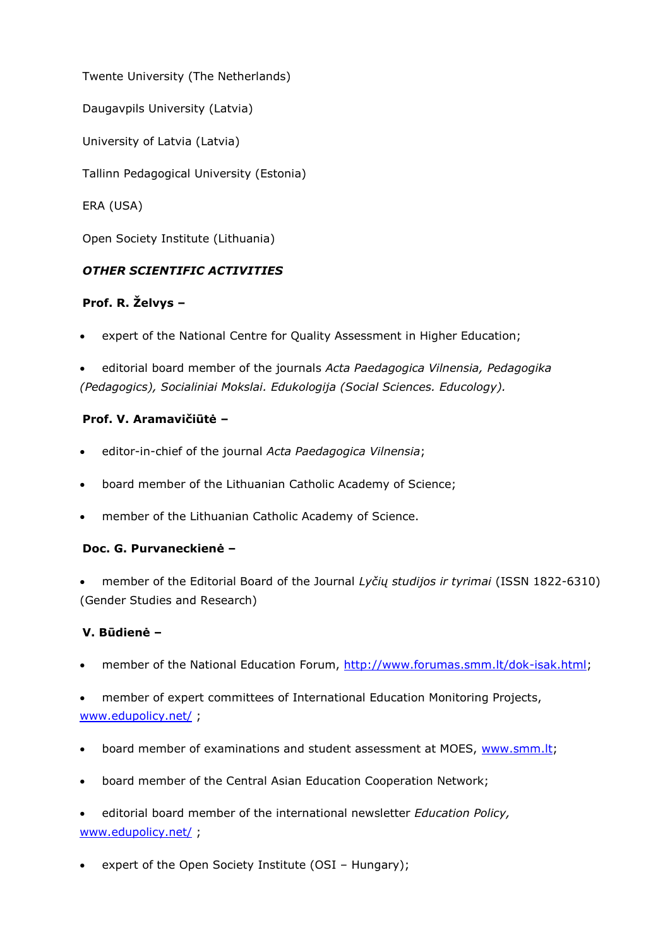Twente University (The Netherlands)

Daugavpils University (Latvia)

University of Latvia (Latvia)

Tallinn Pedagogical University (Estonia)

ERA (USA)

Open Society Institute (Lithuania)

# *OTHER SCIENTIFIC ACTIVITIES*

# **Prof. R. Želvys –**

expert of the National Centre for Quality Assessment in Higher Education;

 editorial board member of the journals *Acta Paedagogica Vilnensia, Pedagogika (Pedagogics), Socialiniai Mokslai. Edukologija (Social Sciences. Educology).*

# **Prof. V. Aramavičiūtė –**

- editor-in-chief of the journal *Acta Paedagogica Vilnensia*;
- board member of the Lithuanian Catholic Academy of Science;
- member of the Lithuanian Catholic Academy of Science.

# **Doc. G. Purvaneckienė –**

 member of the Editorial Board of the Journal *Lyčių studijos ir tyrimai* (ISSN 1822-6310) (Gender Studies and Research)

# **V. Būdienė –**

member of the National Education Forum, [http://www.forumas.smm.lt/dok-isak.html;](http://www.forumas.smm.lt/dok-isak.html)

 member of expert committees of International Education Monitoring Projects, [www.edupolicy.net/](http://www.edupolicy.net/) ;

- board member of examinations and student assessment at MOES, [www.smm.lt;](http://www.smm.lt/)
- board member of the Central Asian Education Cooperation Network;
- editorial board member of the international newsletter *Education Policy,* [www.edupolicy.net/](http://www.edupolicy.net/) ;
- expert of the Open Society Institute (OSI Hungary);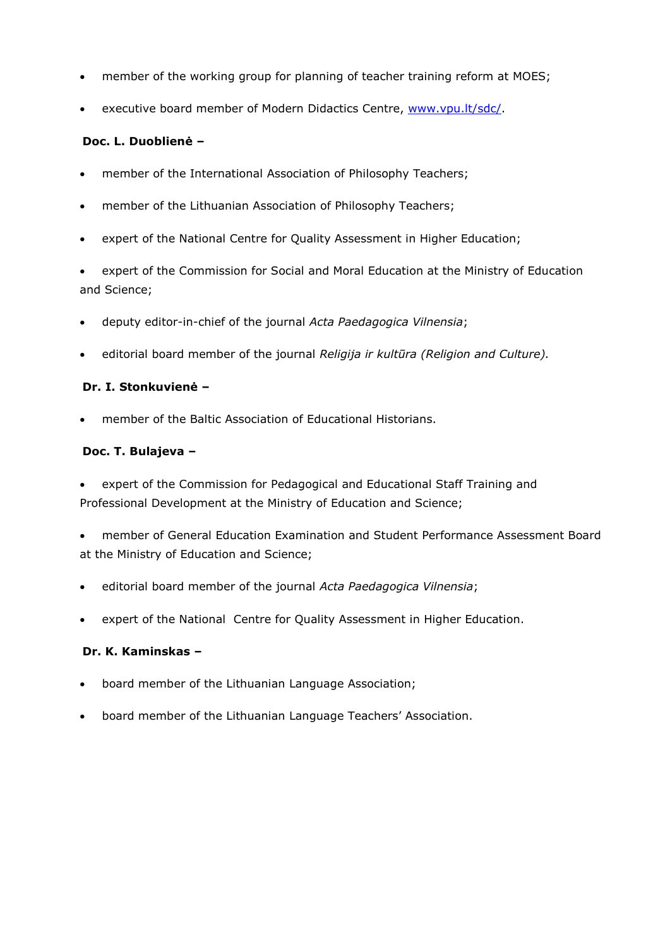- member of the working group for planning of teacher training reform at MOES;
- executive board member of Modern Didactics Centre, [www.vpu.lt/sdc/.](http://www.vpu.lt/sdc/)

#### **Doc. L. Duoblienė –**

- member of the International Association of Philosophy Teachers;
- member of the Lithuanian Association of Philosophy Teachers;
- expert of the National Centre for Quality Assessment in Higher Education;

 expert of the Commission for Social and Moral Education at the Ministry of Education and Science;

- deputy editor-in-chief of the journal *Acta Paedagogica Vilnensia*;
- editorial board member of the journal *Religija ir kultūra (Religion and Culture).*

## **Dr. I. Stonkuvienė –**

member of the Baltic Association of Educational Historians.

#### **Doc. T. Bulajeva –**

 expert of the Commission for Pedagogical and Educational Staff Training and Professional Development at the Ministry of Education and Science;

 member of General Education Examination and Student Performance Assessment Board at the Ministry of Education and Science;

- editorial board member of the journal *Acta Paedagogica Vilnensia*;
- expert of the National Centre for Quality Assessment in Higher Education.

#### **Dr. K. Kaminskas –**

- board member of the Lithuanian Language Association;
- board member of the Lithuanian Language Teachers' Association.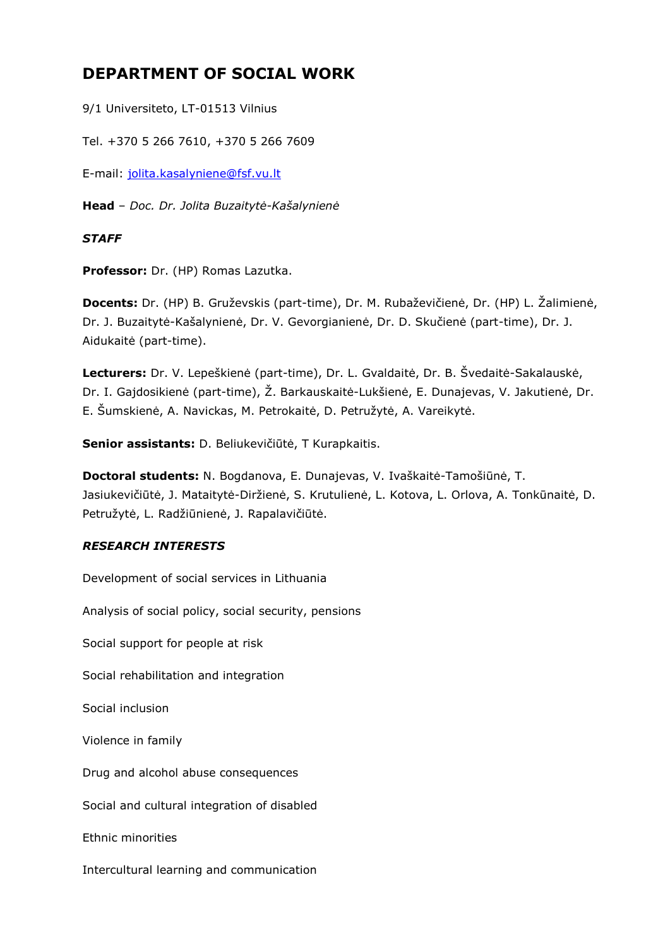# **DEPARTMENT OF SOCIAL WORK**

9/1 Universiteto, LT-01513 Vilnius

Tel. +370 5 266 7610, +370 5 266 7609

E-mail: [jolita.kasalyniene@fsf.vu.lt](mailto:jolita.kasalyniene@fsf.vu.lt)

**Head** – *Doc. Dr. Jolita Buzaitytė-Kašalynienė*

## *STAFF*

**Professor:** Dr. (HP) Romas Lazutka.

**Docents:** Dr. (HP) B. Gruževskis (part-time), Dr. M. Rubaževičienė, Dr. (HP) L. Žalimienė, Dr. J. Buzaitytė-Kašalynienė, Dr. V. Gevorgianienė, Dr. D. Skučienė (part-time), Dr. J. Aidukaitė (part-time).

**Lecturers:** Dr. V. Lepeškienė (part-time), Dr. L. Gvaldaitė, Dr. B. Švedaitė-Sakalauskė, Dr. I. Gajdosikienė (part-time), Ž. Barkauskaitė-Lukšienė, E. Dunajevas, V. Jakutienė, Dr. E. Šumskienė, A. Navickas, M. Petrokaitė, D. Petružytė, A. Vareikytė.

**Senior assistants:** D. Beliukevičiūtė, T Kurapkaitis.

**Doctoral students:** N. Bogdanova, E. Dunajevas, V. Ivaškaitė-Tamošiūnė, T. Jasiukevičiūtė, J. Mataitytė-Diržienė, S. Krutulienė, L. Kotova, L. Orlova, A. Tonkūnaitė, D. Petružytė, L. Radžiūnienė, J. Rapalavičiūtė.

# *RESEARCH INTERESTS*

Development of social services in Lithuania

Analysis of social policy, social security, pensions

Social support for people at risk

Social rehabilitation and integration

Social inclusion

Violence in family

Drug and alcohol abuse consequences

Social and cultural integration of disabled

Ethnic minorities

Intercultural learning and communication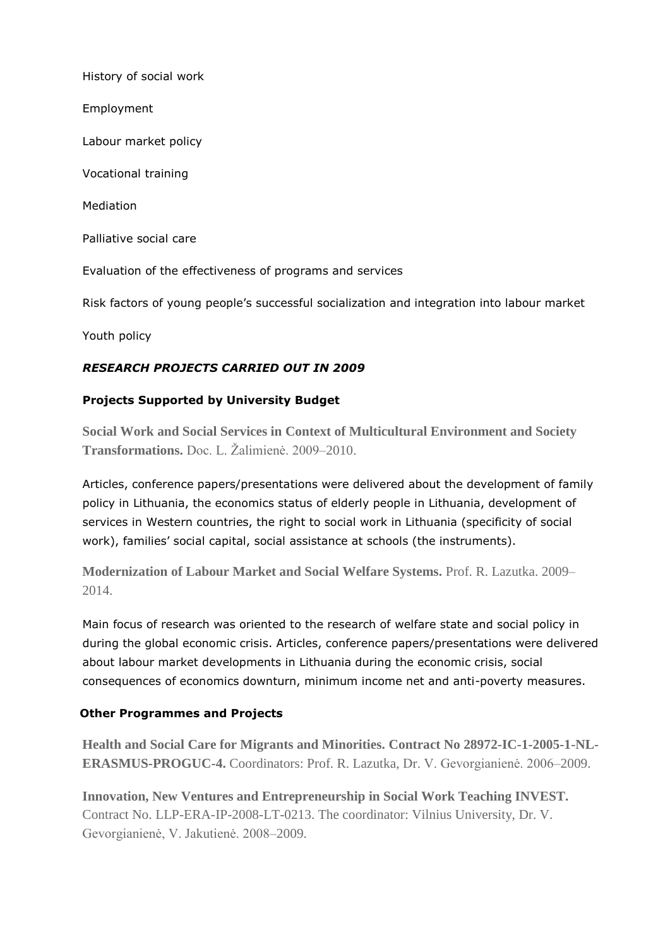History of social work Employment Labour market policy Vocational training Mediation Palliative social care Evaluation of the effectiveness of programs and services Risk factors of young people's successful socialization and integration into labour market

Youth policy

# *RESEARCH PROJECTS CARRIED OUT IN 2009*

# **Projects Supported by University Budget**

**Social Work and Social Services in Context of Multicultural Environment and Society Transformations.** Doc. L. Žalimienė. 2009–2010.

Articles, conference papers/presentations were delivered about the development of family policy in Lithuania, the economics status of elderly people in Lithuania, development of services in Western countries, the right to social work in Lithuania (specificity of social work), families' social capital, social assistance at schools (the instruments).

**Modernization of Labour Market and Social Welfare Systems.** Prof. R. Lazutka. 2009– 2014.

Main focus of research was oriented to the research of welfare state and social policy in during the global economic crisis. Articles, conference papers/presentations were delivered about labour market developments in Lithuania during the economic crisis, social consequences of economics downturn, minimum income net and anti-poverty measures.

# **Other Programmes and Projects**

**Health and Social Care for Migrants and Minorities. Contract No 28972-IC-1-2005-1-NL-ERASMUS-PROGUC-4.** Coordinators: Prof. R. Lazutka, Dr. V. Gevorgianienė. 2006–2009.

**Innovation, New Ventures and Entrepreneurship in Social Work Teaching INVEST.**  Contract No. LLP-ERA-IP-2008-LT-0213. The coordinator: Vilnius University, Dr. V. Gevorgianienė, V. Jakutienė. 2008–2009.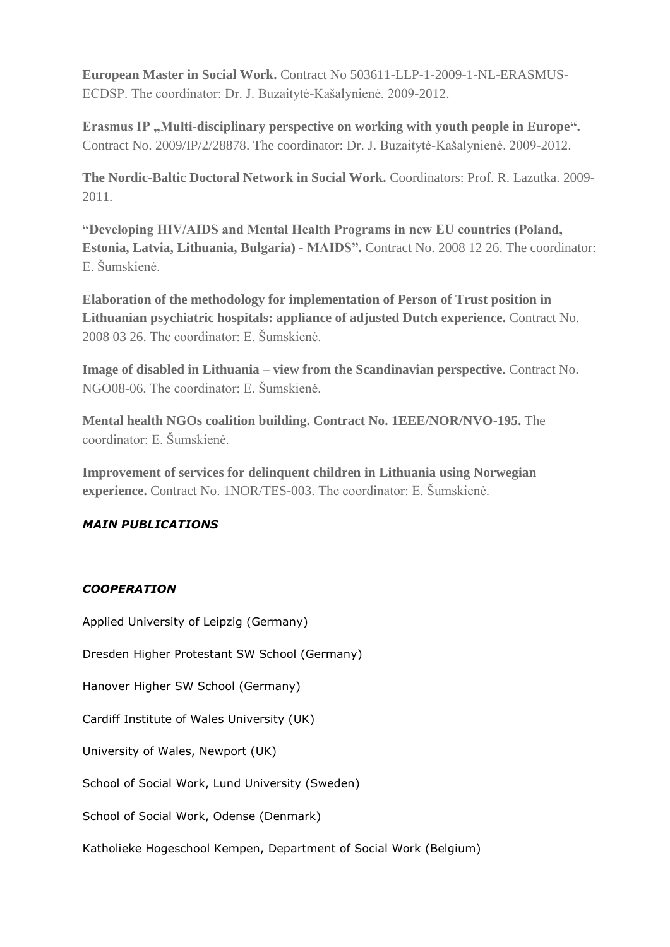**European Master in Social Work.** Contract No 503611-LLP-1-2009-1-NL-ERASMUS-ECDSP. The coordinator: Dr. J. Buzaitytė-Kašalynienė. 2009-2012.

**Erasmus IP**, Multi-disciplinary perspective on working with youth people in Europe". Contract No. 2009/IP/2/28878. The coordinator: Dr. J. Buzaitytė-Kašalynienė. 2009-2012.

**The Nordic-Baltic Doctoral Network in Social Work.** Coordinators: Prof. R. Lazutka. 2009- 2011.

**"Developing HIV/AIDS and Mental Health Programs in new EU countries (Poland, Estonia, Latvia, Lithuania, Bulgaria) - MAIDS".** Contract No. 2008 12 26. The coordinator: E. Šumskienė.

**Elaboration of the methodology for implementation of Person of Trust position in Lithuanian psychiatric hospitals: appliance of adjusted Dutch experience.** Contract No. 2008 03 26. The coordinator: E. Šumskienė.

**Image of disabled in Lithuania – view from the Scandinavian perspective.** Contract No. NGO08-06. The coordinator: E. Šumskienė.

**Mental health NGOs coalition building. Contract No. 1EEE/NOR/NVO-195.** The coordinator: E. Šumskienė.

**Improvement of services for delinquent children in Lithuania using Norwegian experience.** Contract No. 1NOR/TES-003. The coordinator: E. Šumskienė.

# *MAIN PUBLICATIONS*

# *COOPERATION*

Applied University of Leipzig (Germany) Dresden Higher Protestant SW School (Germany) Hanover Higher SW School (Germany) Cardiff Institute of Wales University (UK) University of Wales, Newport (UK) School of Social Work, Lund University (Sweden) School of Social Work, Odense (Denmark) Katholieke Hogeschool Kempen, Department of Social Work (Belgium)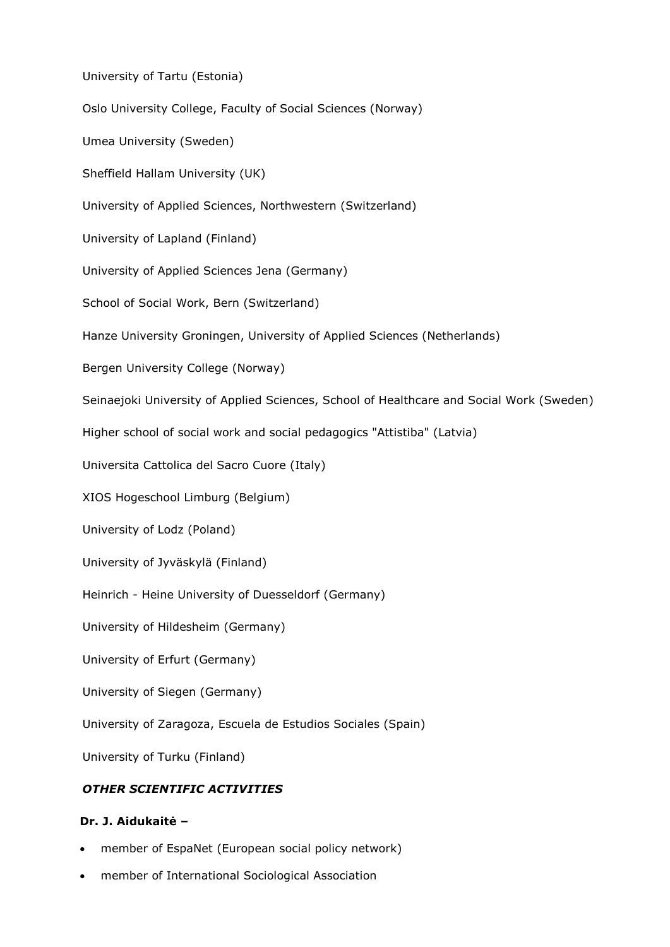University of Tartu (Estonia) Oslo University College, Faculty of Social Sciences (Norway) Umea University (Sweden) Sheffield Hallam University (UK) University of Applied Sciences, Northwestern (Switzerland) University of Lapland (Finland) University of Applied Sciences Jena (Germany) School of Social Work, Bern (Switzerland) Hanze University Groningen, University of Applied Sciences (Netherlands) Bergen University College (Norway) Seinaejoki University of Applied Sciences, School of Healthcare and Social Work (Sweden) Higher school of social work and social pedagogics "Attistiba" (Latvia) Universita Cattolica del Sacro Cuore (Italy) XIOS Hogeschool Limburg (Belgium) University of Lodz (Poland) University of Jyväskylä (Finland) Heinrich - Heine University of Duesseldorf (Germany) University of Hildesheim (Germany) University of Erfurt (Germany) University of Siegen (Germany) University of Zaragoza, Escuela de Estudios Sociales (Spain) University of Turku (Finland) *OTHER SCIENTIFIC ACTIVITIES*

#### **Dr. J. Aidukaitė –**

- member of EspaNet (European social policy network)
- member of International Sociological Association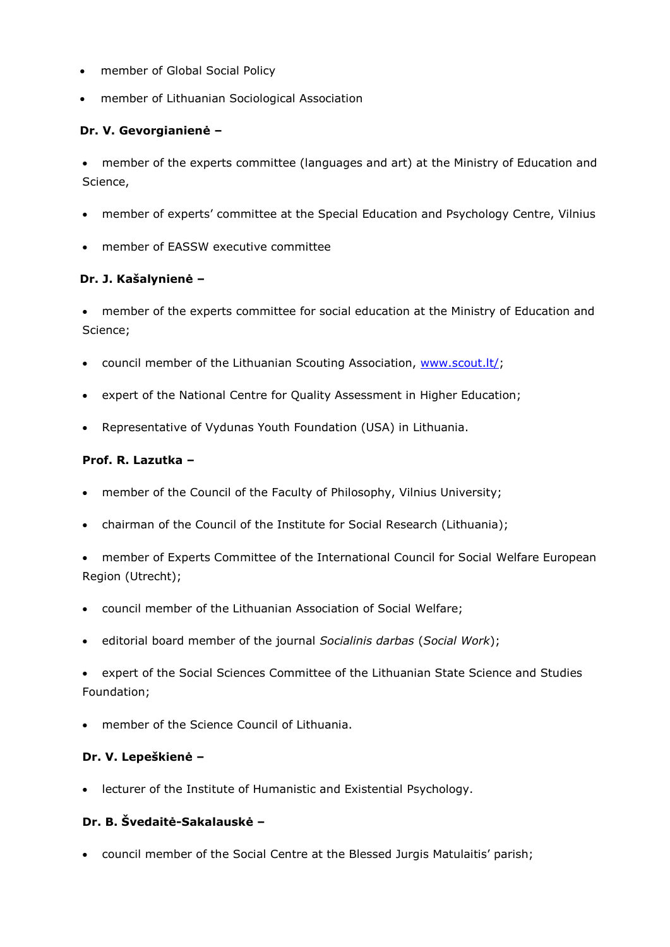- member of Global Social Policy
- member of Lithuanian Sociological Association

## **Dr. V. Gevorgianienė –**

 member of the experts committee (languages and art) at the Ministry of Education and Science,

- member of experts' committee at the Special Education and Psychology Centre, Vilnius
- member of EASSW executive committee

## **Dr. J. Kašalynienė –**

 member of the experts committee for social education at the Ministry of Education and Science;

- council member of the Lithuanian Scouting Association, [www.scout.lt/;](http://www.scout.lt/)
- expert of the National Centre for Quality Assessment in Higher Education;
- Representative of Vydunas Youth Foundation (USA) in Lithuania.

## **Prof. R. Lazutka –**

- member of the Council of the Faculty of Philosophy, Vilnius University;
- chairman of the Council of the Institute for Social Research (Lithuania);
- member of Experts Committee of the International Council for Social Welfare European Region (Utrecht);
- council member of the Lithuanian Association of Social Welfare;
- editorial board member of the journal *Socialinis darbas* (*Social Work*);
- expert of the Social Sciences Committee of the Lithuanian State Science and Studies Foundation;
- member of the Science Council of Lithuania.

#### **Dr. V. Lepeškienė –**

lecturer of the Institute of Humanistic and Existential Psychology.

# **Dr. B. Švedaitė-Sakalauskė –**

council member of the Social Centre at the Blessed Jurgis Matulaitis' parish;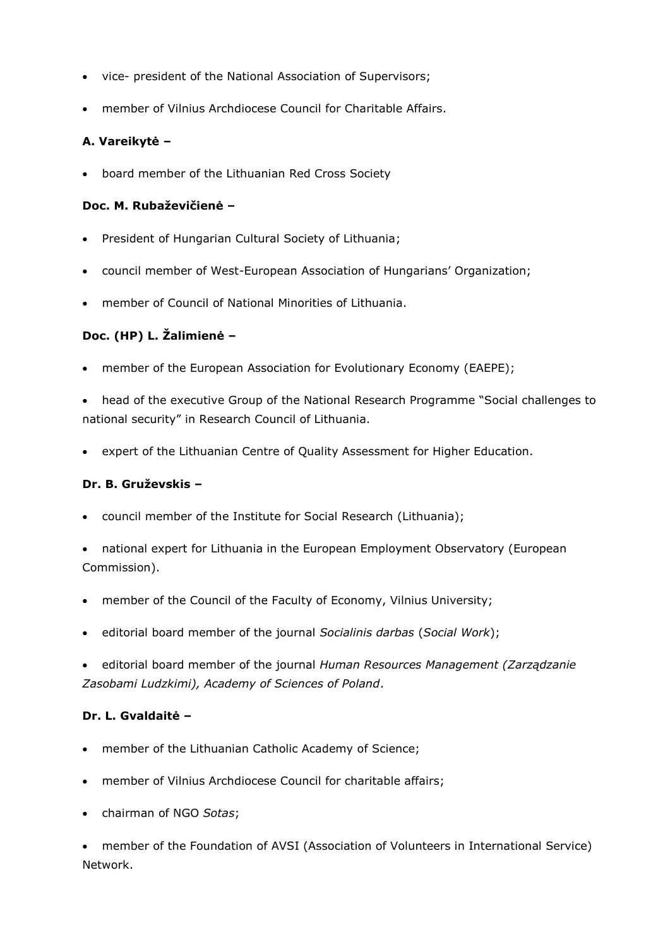- vice- president of the National Association of Supervisors;
- member of Vilnius Archdiocese Council for Charitable Affairs.

# **A. Vareikytė –**

board member of the Lithuanian Red Cross Society

#### **Doc. M. Rubaževičienė –**

- President of Hungarian Cultural Society of Lithuania;
- council member of West-European Association of Hungarians' Organization;
- member of Council of National Minorities of Lithuania.

# **Doc. (HP) L. Žalimienė –**

member of the European Association for Evolutionary Economy (EAEPE);

 head of the executive Group of the National Research Programme "Social challenges to national security" in Research Council of Lithuania.

expert of the Lithuanian Centre of Quality Assessment for Higher Education.

#### **Dr. B. Gruževskis –**

- council member of the Institute for Social Research (Lithuania);
- national expert for Lithuania in the European Employment Observatory (European Commission).
- member of the Council of the Faculty of Economy, Vilnius University;
- editorial board member of the journal *Socialinis darbas* (*Social Work*);
- editorial board member of the journal *Human Resources Management (Zarządzanie Zasobami Ludzkimi), Academy of Sciences of Poland*.

# **Dr. L. Gvaldaitė –**

- member of the Lithuanian Catholic Academy of Science;
- member of Vilnius Archdiocese Council for charitable affairs;
- chairman of NGO *Sotas*;

 member of the Foundation of AVSI (Association of Volunteers in International Service) Network.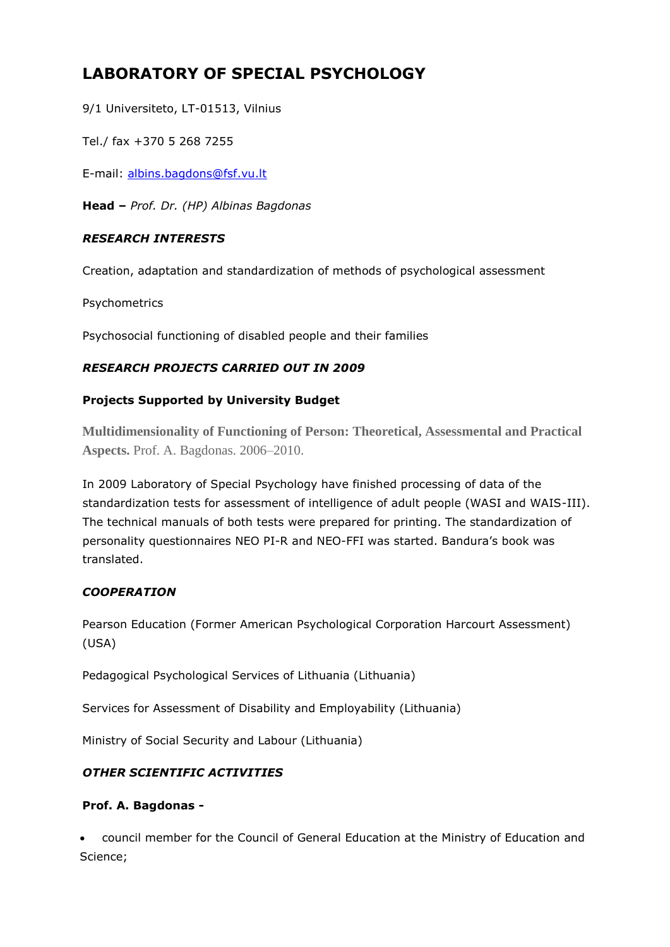# **LABORATORY OF SPECIAL PSYCHOLOGY**

9/1 Universiteto, LT-01513, Vilnius

Tel./ fax +370 5 268 7255

E-mail: [albins.bagdons@fsf.vu.lt](mailto:albins.bagdons@fsf.vu.lt)

**Head –** *Prof. Dr. (HP) Albinas Bagdonas* 

## *RESEARCH INTERESTS*

Creation, adaptation and standardization of methods of psychological assessment

Psychometrics

Psychosocial functioning of disabled people and their families

# *RESEARCH PROJECTS CARRIED OUT IN 2009*

## **Projects Supported by University Budget**

**Multidimensionality of Functioning of Person: Theoretical, Assessmental and Practical Aspects.** Prof. A. Bagdonas. 2006–2010.

In 2009 Laboratory of Special Psychology have finished processing of data of the standardization tests for assessment of intelligence of adult people (WASI and WAIS-III). The technical manuals of both tests were prepared for printing. The standardization of personality questionnaires NEO PI-R and NEO-FFI was started. Bandura's book was translated.

# *COOPERATION*

Pearson Education (Former American Psychological Corporation Harcourt Assessment) (USA)

Pedagogical Psychological Services of Lithuania (Lithuania)

Services for Assessment of Disability and Employability (Lithuania)

Ministry of Social Security and Labour (Lithuania)

# *OTHER SCIENTIFIC ACTIVITIES*

# **Prof. A. Bagdonas -**

 council member for the Council of General Education at the Ministry of Education and Science;